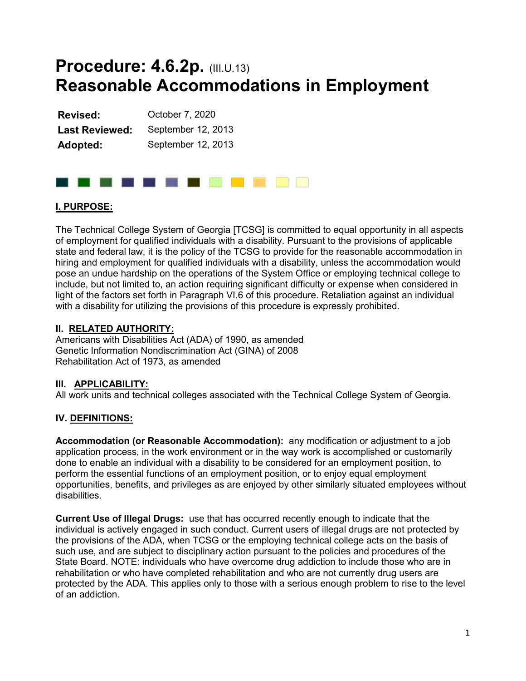# **Procedure: 4.6.2p. (III.U.13) Reasonable Accommodations in Employment**

| Revised:              | October 7, 2020    |  |  |  |
|-----------------------|--------------------|--|--|--|
| <b>Last Reviewed:</b> | September 12, 2013 |  |  |  |
| Adopted:              | September 12, 2013 |  |  |  |

# . . . . . . . . . . . . .

# **I. PURPOSE:**

The Technical College System of Georgia [TCSG] is committed to equal opportunity in all aspects of employment for qualified individuals with a disability. Pursuant to the provisions of applicable state and federal law, it is the policy of the TCSG to provide for the reasonable accommodation in hiring and employment for qualified individuals with a disability, unless the accommodation would pose an undue hardship on the operations of the System Office or employing technical college to include, but not limited to, an action requiring significant difficulty or expense when considered in light of the factors set forth in Paragraph VI.6 of this procedure. Retaliation against an individual with a disability for utilizing the provisions of this procedure is expressly prohibited.

# **II. RELATED AUTHORITY:**

Americans with Disabilities Act (ADA) of 1990, as amended Genetic Information Nondiscrimination Act (GINA) of 2008 Rehabilitation Act of 1973, as amended

# **III. APPLICABILITY:**

All work units and technical colleges associated with the Technical College System of Georgia.

# **IV. DEFINITIONS:**

**Accommodation (or Reasonable Accommodation):** any modification or adjustment to a job application process, in the work environment or in the way work is accomplished or customarily done to enable an individual with a disability to be considered for an employment position, to perform the essential functions of an employment position, or to enjoy equal employment opportunities, benefits, and privileges as are enjoyed by other similarly situated employees without disabilities.

**Current Use of Illegal Drugs:** use that has occurred recently enough to indicate that the individual is actively engaged in such conduct. Current users of illegal drugs are not protected by the provisions of the ADA, when TCSG or the employing technical college acts on the basis of such use, and are subject to disciplinary action pursuant to the policies and procedures of the State Board. NOTE: individuals who have overcome drug addiction to include those who are in rehabilitation or who have completed rehabilitation and who are not currently drug users are protected by the ADA. This applies only to those with a serious enough problem to rise to the level of an addiction.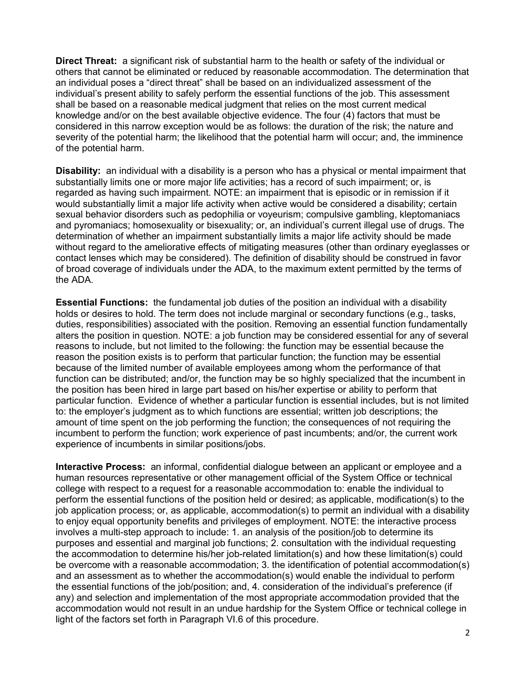**Direct Threat:** a significant risk of substantial harm to the health or safety of the individual or others that cannot be eliminated or reduced by reasonable accommodation. The determination that an individual poses a "direct threat" shall be based on an individualized assessment of the individual's present ability to safely perform the essential functions of the job. This assessment shall be based on a reasonable medical judgment that relies on the most current medical knowledge and/or on the best available objective evidence. The four (4) factors that must be considered in this narrow exception would be as follows: the duration of the risk; the nature and severity of the potential harm; the likelihood that the potential harm will occur; and, the imminence of the potential harm.

**Disability:** an individual with a disability is a person who has a physical or mental impairment that substantially limits one or more major life activities; has a record of such impairment; or, is regarded as having such impairment. NOTE: an impairment that is episodic or in remission if it would substantially limit a major life activity when active would be considered a disability; certain sexual behavior disorders such as pedophilia or voyeurism; compulsive gambling, kleptomaniacs and pyromaniacs; homosexuality or bisexuality; or, an individual's current illegal use of drugs. The determination of whether an impairment substantially limits a major life activity should be made without regard to the ameliorative effects of mitigating measures (other than ordinary eyeglasses or contact lenses which may be considered). The definition of disability should be construed in favor of broad coverage of individuals under the ADA, to the maximum extent permitted by the terms of the ADA.

**Essential Functions:** the fundamental job duties of the position an individual with a disability holds or desires to hold. The term does not include marginal or secondary functions (e.g., tasks, duties, responsibilities) associated with the position. Removing an essential function fundamentally alters the position in question. NOTE: a job function may be considered essential for any of several reasons to include, but not limited to the following: the function may be essential because the reason the position exists is to perform that particular function; the function may be essential because of the limited number of available employees among whom the performance of that function can be distributed; and/or, the function may be so highly specialized that the incumbent in the position has been hired in large part based on his/her expertise or ability to perform that particular function. Evidence of whether a particular function is essential includes, but is not limited to: the employer's judgment as to which functions are essential; written job descriptions; the amount of time spent on the job performing the function; the consequences of not requiring the incumbent to perform the function; work experience of past incumbents; and/or, the current work experience of incumbents in similar positions/jobs.

**Interactive Process:** an informal, confidential dialogue between an applicant or employee and a human resources representative or other management official of the System Office or technical college with respect to a request for a reasonable accommodation to: enable the individual to perform the essential functions of the position held or desired; as applicable, modification(s) to the job application process; or, as applicable, accommodation(s) to permit an individual with a disability to enjoy equal opportunity benefits and privileges of employment. NOTE: the interactive process involves a multi-step approach to include: 1. an analysis of the position/job to determine its purposes and essential and marginal job functions; 2. consultation with the individual requesting the accommodation to determine his/her job-related limitation(s) and how these limitation(s) could be overcome with a reasonable accommodation; 3. the identification of potential accommodation(s) and an assessment as to whether the accommodation(s) would enable the individual to perform the essential functions of the job/position; and, 4. consideration of the individual's preference (if any) and selection and implementation of the most appropriate accommodation provided that the accommodation would not result in an undue hardship for the System Office or technical college in light of the factors set forth in Paragraph VI.6 of this procedure.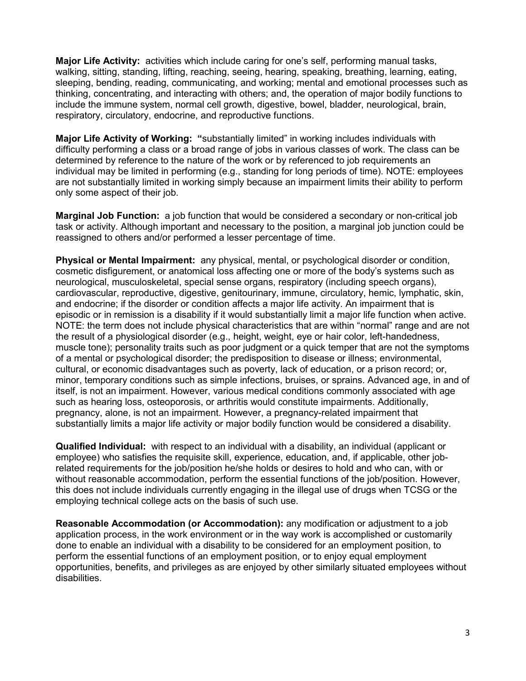**Major Life Activity:** activities which include caring for one's self, performing manual tasks, walking, sitting, standing, lifting, reaching, seeing, hearing, speaking, breathing, learning, eating, sleeping, bending, reading, communicating, and working; mental and emotional processes such as thinking, concentrating, and interacting with others; and, the operation of major bodily functions to include the immune system, normal cell growth, digestive, bowel, bladder, neurological, brain, respiratory, circulatory, endocrine, and reproductive functions.

**Major Life Activity of Working: "**substantially limited" in working includes individuals with difficulty performing a class or a broad range of jobs in various classes of work. The class can be determined by reference to the nature of the work or by referenced to job requirements an individual may be limited in performing (e.g., standing for long periods of time). NOTE: employees are not substantially limited in working simply because an impairment limits their ability to perform only some aspect of their job.

**Marginal Job Function:** a job function that would be considered a secondary or non-critical job task or activity. Although important and necessary to the position, a marginal job junction could be reassigned to others and/or performed a lesser percentage of time.

**Physical or Mental Impairment:** any physical, mental, or psychological disorder or condition, cosmetic disfigurement, or anatomical loss affecting one or more of the body's systems such as neurological, musculoskeletal, special sense organs, respiratory (including speech organs), cardiovascular, reproductive, digestive, genitourinary, immune, circulatory, hemic, lymphatic, skin, and endocrine; if the disorder or condition affects a major life activity. An impairment that is episodic or in remission is a disability if it would substantially limit a major life function when active. NOTE: the term does not include physical characteristics that are within "normal" range and are not the result of a physiological disorder (e.g., height, weight, eye or hair color, left-handedness, muscle tone); personality traits such as poor judgment or a quick temper that are not the symptoms of a mental or psychological disorder; the predisposition to disease or illness; environmental, cultural, or economic disadvantages such as poverty, lack of education, or a prison record; or, minor, temporary conditions such as simple infections, bruises, or sprains. Advanced age, in and of itself, is not an impairment. However, various medical conditions commonly associated with age such as hearing loss, osteoporosis, or arthritis would constitute impairments. Additionally, pregnancy, alone, is not an impairment. However, a pregnancy-related impairment that substantially limits a major life activity or major bodily function would be considered a disability.

**Qualified Individual:** with respect to an individual with a disability, an individual (applicant or employee) who satisfies the requisite skill, experience, education, and, if applicable, other jobrelated requirements for the job/position he/she holds or desires to hold and who can, with or without reasonable accommodation, perform the essential functions of the job/position. However, this does not include individuals currently engaging in the illegal use of drugs when TCSG or the employing technical college acts on the basis of such use.

**Reasonable Accommodation (or Accommodation):** any modification or adjustment to a job application process, in the work environment or in the way work is accomplished or customarily done to enable an individual with a disability to be considered for an employment position, to perform the essential functions of an employment position, or to enjoy equal employment opportunities, benefits, and privileges as are enjoyed by other similarly situated employees without disabilities.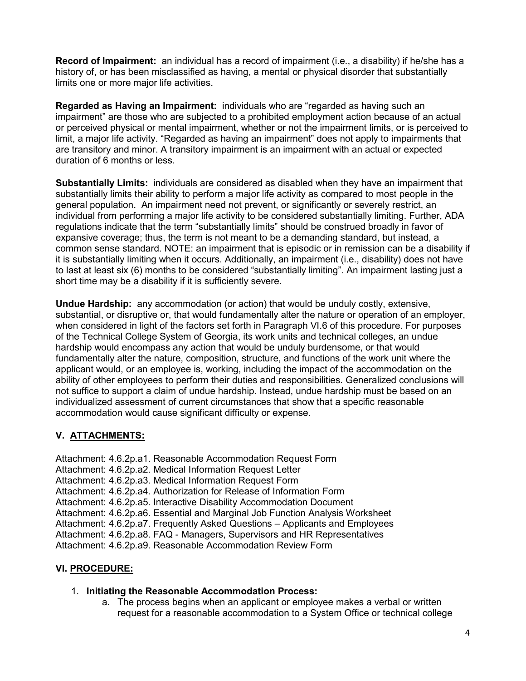**Record of Impairment:** an individual has a record of impairment (i.e., a disability) if he/she has a history of, or has been misclassified as having, a mental or physical disorder that substantially limits one or more major life activities.

**Regarded as Having an Impairment:** individuals who are "regarded as having such an impairment" are those who are subjected to a prohibited employment action because of an actual or perceived physical or mental impairment, whether or not the impairment limits, or is perceived to limit, a major life activity. "Regarded as having an impairment" does not apply to impairments that are transitory and minor. A transitory impairment is an impairment with an actual or expected duration of 6 months or less.

**Substantially Limits:** individuals are considered as disabled when they have an impairment that substantially limits their ability to perform a major life activity as compared to most people in the general population. An impairment need not prevent, or significantly or severely restrict, an individual from performing a major life activity to be considered substantially limiting. Further, ADA regulations indicate that the term "substantially limits" should be construed broadly in favor of expansive coverage; thus, the term is not meant to be a demanding standard, but instead, a common sense standard. NOTE: an impairment that is episodic or in remission can be a disability if it is substantially limiting when it occurs. Additionally, an impairment (i.e., disability) does not have to last at least six (6) months to be considered "substantially limiting". An impairment lasting just a short time may be a disability if it is sufficiently severe.

**Undue Hardship:** any accommodation (or action) that would be unduly costly, extensive, substantial, or disruptive or, that would fundamentally alter the nature or operation of an employer, when considered in light of the factors set forth in Paragraph VI.6 of this procedure. For purposes of the Technical College System of Georgia, its work units and technical colleges, an undue hardship would encompass any action that would be unduly burdensome, or that would fundamentally alter the nature, composition, structure, and functions of the work unit where the applicant would, or an employee is, working, including the impact of the accommodation on the ability of other employees to perform their duties and responsibilities. Generalized conclusions will not suffice to support a claim of undue hardship. Instead, undue hardship must be based on an individualized assessment of current circumstances that show that a specific reasonable accommodation would cause significant difficulty or expense.

# **V. ATTACHMENTS:**

Attachment: 4.6.2p.a1. [Reasonable Accommodation Request Form](https://tcsg.edu/tcsgpolicy/docs/III.U.13.Attachment_A-Request%20Form.docx) Attachment: 4.6.2p.a2. [Medical Information Request Letter](https://tcsg.edu/tcsgpolicy/docs/III.U.13.Attachment_B-Medical_Information_Request_Letter.docx) Attachment: 4.6.2p.a3. [Medical Information Request Form](https://tcsg.edu/tcsgpolicy/docs/III.U.13.Attachment_C-Medical_Information_Request_Form.docx) Attachment: 4.6.2p.a4. [Authorization for Release of Information Form](https://tcsg.edu/tcsgpolicy/docs/III.U.13.Attachment_D-Authorization_for_Release_of_Information_Form.docx) Attachment: 4.6.2p.a5. [Interactive Disability Accommodation Document](https://tcsg.edu/tcsgpolicy/docs/III.U.13.Attachment_E-Interactive_Disability_Accommodation_Document.docx) Attachment: 4.6.2p.a6. [Essential and Marginal Job Function Analysis Worksheet](https://tcsg.edu/tcsgpolicy/docs/III.U.13.Attachment_F-Essential_and_Marginal_Job_Function_Analysis_Worksheet.docx) Attachment: 4.6.2p.a7. [Frequently Asked Questions –](https://tcsg.edu/tcsgpolicy/docs/III.U.13.Attachment_G-FAQ_for_Applicants_and_Employees.docx) Applicants and Employees Attachment: 4.6.2p.a8. FAQ - [Managers, Supervisors and HR Representatives](https://tcsg.edu/tcsgpolicy/docs/III.U.13.Attachment_H-FAQ_for_Managers_Supervisors_and_HR_Staff.docx) Attachment: 4.6.2p.a9. [Reasonable Accommodation Review Form](https://tcsg.edu/tcsgpolicy/docs/III.U.13.Attachment_I-Review_Form.docx)

# **VI. PROCEDURE:**

# 1. **Initiating the Reasonable Accommodation Process:**

a. The process begins when an applicant or employee makes a verbal or written request for a reasonable accommodation to a System Office or technical college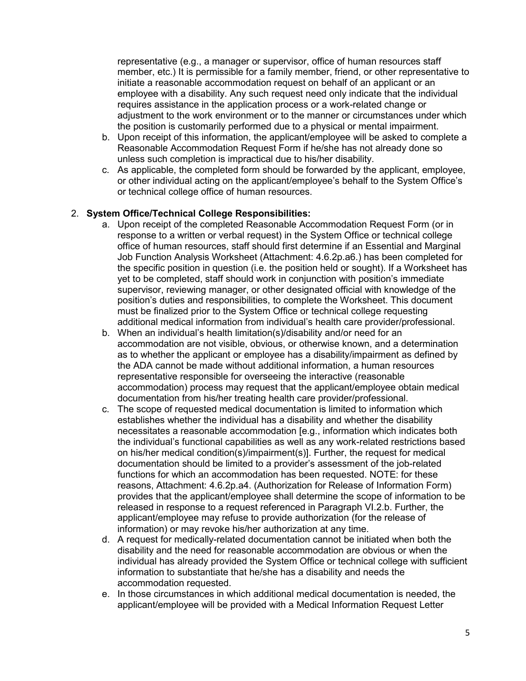representative (e.g., a manager or supervisor, office of human resources staff member, etc.) It is permissible for a family member, friend, or other representative to initiate a reasonable accommodation request on behalf of an applicant or an employee with a disability. Any such request need only indicate that the individual requires assistance in the application process or a work-related change or adjustment to the work environment or to the manner or circumstances under which the position is customarily performed due to a physical or mental impairment.

- b. Upon receipt of this information, the applicant/employee will be asked to complete a Reasonable Accommodation Request Form if he/she has not already done so unless such completion is impractical due to his/her disability.
- c. As applicable, the completed form should be forwarded by the applicant, employee, or other individual acting on the applicant/employee's behalf to the System Office's or technical college office of human resources.

# 2. **System Office/Technical College Responsibilities:**

- a. Upon receipt of the completed Reasonable Accommodation Request Form (or in response to a written or verbal request) in the System Office or technical college office of human resources, staff should first determine if an Essential and Marginal Job Function Analysis Worksheet (Attachment: 4.6.2p.a6.) has been completed for the specific position in question (i.e. the position held or sought). If a Worksheet has yet to be completed, staff should work in conjunction with position's immediate supervisor, reviewing manager, or other designated official with knowledge of the position's duties and responsibilities, to complete the Worksheet. This document must be finalized prior to the System Office or technical college requesting additional medical information from individual's health care provider/professional.
- b. When an individual's health limitation(s)/disability and/or need for an accommodation are not visible, obvious, or otherwise known, and a determination as to whether the applicant or employee has a disability/impairment as defined by the ADA cannot be made without additional information, a human resources representative responsible for overseeing the interactive (reasonable accommodation) process may request that the applicant/employee obtain medical documentation from his/her treating health care provider/professional.
- c. The scope of requested medical documentation is limited to information which establishes whether the individual has a disability and whether the disability necessitates a reasonable accommodation [e.g., information which indicates both the individual's functional capabilities as well as any work-related restrictions based on his/her medical condition(s)/impairment(s)]. Further, the request for medical documentation should be limited to a provider's assessment of the job-related functions for which an accommodation has been requested. NOTE: for these reasons, Attachment: 4.6.2p.a4. (Authorization for Release of Information Form) provides that the applicant/employee shall determine the scope of information to be released in response to a request referenced in Paragraph VI.2.b. Further, the applicant/employee may refuse to provide authorization (for the release of information) or may revoke his/her authorization at any time.
- d. A request for medically-related documentation cannot be initiated when both the disability and the need for reasonable accommodation are obvious or when the individual has already provided the System Office or technical college with sufficient information to substantiate that he/she has a disability and needs the accommodation requested.
- e. In those circumstances in which additional medical documentation is needed, the applicant/employee will be provided with a Medical Information Request Letter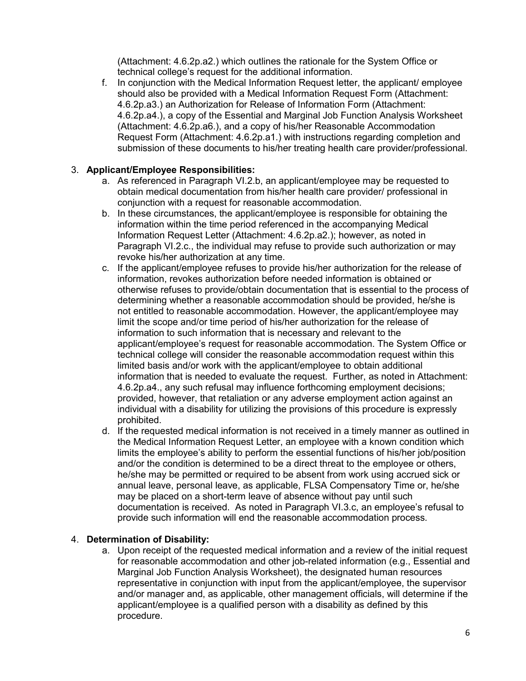(Attachment: 4.6.2p.a2.) which outlines the rationale for the System Office or technical college's request for the additional information.

f. In conjunction with the Medical Information Request letter, the applicant/ employee should also be provided with a Medical Information Request Form (Attachment: 4.6.2p.a3.) an Authorization for Release of Information Form (Attachment: 4.6.2p.a4.), a copy of the Essential and Marginal Job Function Analysis Worksheet (Attachment: 4.6.2p.a6.), and a copy of his/her Reasonable Accommodation Request Form (Attachment: 4.6.2p.a1.) with instructions regarding completion and submission of these documents to his/her treating health care provider/professional.

# 3. **Applicant/Employee Responsibilities:**

- a. As referenced in Paragraph VI.2.b, an applicant/employee may be requested to obtain medical documentation from his/her health care provider/ professional in conjunction with a request for reasonable accommodation.
- b. In these circumstances, the applicant/employee is responsible for obtaining the information within the time period referenced in the accompanying Medical Information Request Letter (Attachment: 4.6.2p.a2.); however, as noted in Paragraph VI.2.c., the individual may refuse to provide such authorization or may revoke his/her authorization at any time.
- c. If the applicant/employee refuses to provide his/her authorization for the release of information, revokes authorization before needed information is obtained or otherwise refuses to provide/obtain documentation that is essential to the process of determining whether a reasonable accommodation should be provided, he/she is not entitled to reasonable accommodation. However, the applicant/employee may limit the scope and/or time period of his/her authorization for the release of information to such information that is necessary and relevant to the applicant/employee's request for reasonable accommodation. The System Office or technical college will consider the reasonable accommodation request within this limited basis and/or work with the applicant/employee to obtain additional information that is needed to evaluate the request. Further, as noted in Attachment: 4.6.2p.a4., any such refusal may influence forthcoming employment decisions; provided, however, that retaliation or any adverse employment action against an individual with a disability for utilizing the provisions of this procedure is expressly prohibited.
- d. If the requested medical information is not received in a timely manner as outlined in the Medical Information Request Letter, an employee with a known condition which limits the employee's ability to perform the essential functions of his/her job/position and/or the condition is determined to be a direct threat to the employee or others, he/she may be permitted or required to be absent from work using accrued sick or annual leave, personal leave, as applicable, FLSA Compensatory Time or, he/she may be placed on a short-term leave of absence without pay until such documentation is received. As noted in Paragraph VI.3.c, an employee's refusal to provide such information will end the reasonable accommodation process.

# 4. **Determination of Disability:**

a. Upon receipt of the requested medical information and a review of the initial request for reasonable accommodation and other job-related information (e.g., Essential and Marginal Job Function Analysis Worksheet), the designated human resources representative in conjunction with input from the applicant/employee, the supervisor and/or manager and, as applicable, other management officials, will determine if the applicant/employee is a qualified person with a disability as defined by this procedure.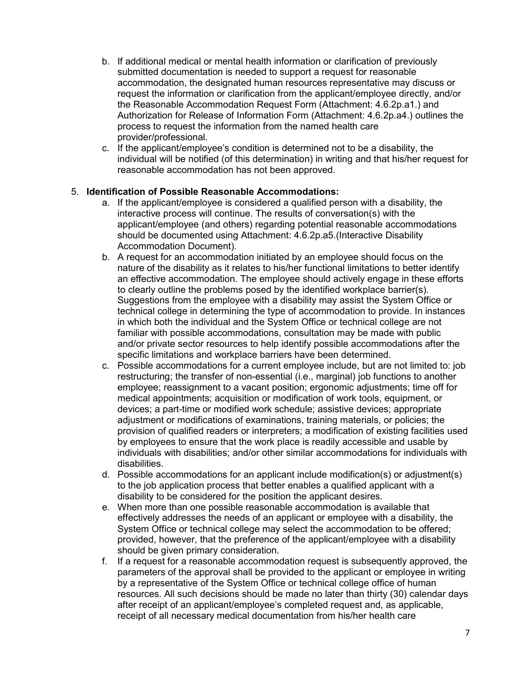- b. If additional medical or mental health information or clarification of previously submitted documentation is needed to support a request for reasonable accommodation, the designated human resources representative may discuss or request the information or clarification from the applicant/employee directly, and/or the Reasonable Accommodation Request Form (Attachment: 4.6.2p.a1.) and Authorization for Release of Information Form (Attachment: 4.6.2p.a4.) outlines the process to request the information from the named health care provider/professional.
- c. If the applicant/employee's condition is determined not to be a disability, the individual will be notified (of this determination) in writing and that his/her request for reasonable accommodation has not been approved.

# 5. **Identification of Possible Reasonable Accommodations:**

- a. If the applicant/employee is considered a qualified person with a disability, the interactive process will continue. The results of conversation(s) with the applicant/employee (and others) regarding potential reasonable accommodations should be documented using Attachment: 4.6.2p.a5.(Interactive Disability Accommodation Document).
- b. A request for an accommodation initiated by an employee should focus on the nature of the disability as it relates to his/her functional limitations to better identify an effective accommodation. The employee should actively engage in these efforts to clearly outline the problems posed by the identified workplace barrier(s). Suggestions from the employee with a disability may assist the System Office or technical college in determining the type of accommodation to provide. In instances in which both the individual and the System Office or technical college are not familiar with possible accommodations, consultation may be made with public and/or private sector resources to help identify possible accommodations after the specific limitations and workplace barriers have been determined.
- c. Possible accommodations for a current employee include, but are not limited to: job restructuring; the transfer of non-essential (i.e., marginal) job functions to another employee; reassignment to a vacant position; ergonomic adjustments; time off for medical appointments; acquisition or modification of work tools, equipment, or devices; a part-time or modified work schedule; assistive devices; appropriate adjustment or modifications of examinations, training materials, or policies; the provision of qualified readers or interpreters; a modification of existing facilities used by employees to ensure that the work place is readily accessible and usable by individuals with disabilities; and/or other similar accommodations for individuals with disabilities.
- d. Possible accommodations for an applicant include modification(s) or adjustment(s) to the job application process that better enables a qualified applicant with a disability to be considered for the position the applicant desires.
- e. When more than one possible reasonable accommodation is available that effectively addresses the needs of an applicant or employee with a disability, the System Office or technical college may select the accommodation to be offered; provided, however, that the preference of the applicant/employee with a disability should be given primary consideration.
- f. If a request for a reasonable accommodation request is subsequently approved, the parameters of the approval shall be provided to the applicant or employee in writing by a representative of the System Office or technical college office of human resources. All such decisions should be made no later than thirty (30) calendar days after receipt of an applicant/employee's completed request and, as applicable, receipt of all necessary medical documentation from his/her health care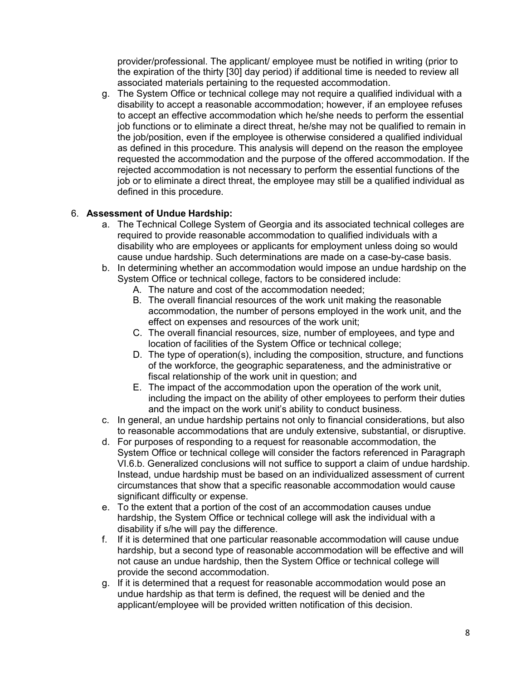provider/professional. The applicant/ employee must be notified in writing (prior to the expiration of the thirty [30] day period) if additional time is needed to review all associated materials pertaining to the requested accommodation.

g. The System Office or technical college may not require a qualified individual with a disability to accept a reasonable accommodation; however, if an employee refuses to accept an effective accommodation which he/she needs to perform the essential job functions or to eliminate a direct threat, he/she may not be qualified to remain in the job/position, even if the employee is otherwise considered a qualified individual as defined in this procedure. This analysis will depend on the reason the employee requested the accommodation and the purpose of the offered accommodation. If the rejected accommodation is not necessary to perform the essential functions of the job or to eliminate a direct threat, the employee may still be a qualified individual as defined in this procedure.

# 6. **Assessment of Undue Hardship:**

- a. The Technical College System of Georgia and its associated technical colleges are required to provide reasonable accommodation to qualified individuals with a disability who are employees or applicants for employment unless doing so would cause undue hardship. Such determinations are made on a case-by-case basis.
- b. In determining whether an accommodation would impose an undue hardship on the System Office or technical college, factors to be considered include:
	- A. The nature and cost of the accommodation needed;
	- B. The overall financial resources of the work unit making the reasonable accommodation, the number of persons employed in the work unit, and the effect on expenses and resources of the work unit;
	- C. The overall financial resources, size, number of employees, and type and location of facilities of the System Office or technical college;
	- D. The type of operation(s), including the composition, structure, and functions of the workforce, the geographic separateness, and the administrative or fiscal relationship of the work unit in question; and
	- E. The impact of the accommodation upon the operation of the work unit, including the impact on the ability of other employees to perform their duties and the impact on the work unit's ability to conduct business.
- c. In general, an undue hardship pertains not only to financial considerations, but also to reasonable accommodations that are unduly extensive, substantial, or disruptive.
- d. For purposes of responding to a request for reasonable accommodation, the System Office or technical college will consider the factors referenced in Paragraph VI.6.b. Generalized conclusions will not suffice to support a claim of undue hardship. Instead, undue hardship must be based on an individualized assessment of current circumstances that show that a specific reasonable accommodation would cause significant difficulty or expense.
- e. To the extent that a portion of the cost of an accommodation causes undue hardship, the System Office or technical college will ask the individual with a disability if s/he will pay the difference.
- f. If it is determined that one particular reasonable accommodation will cause undue hardship, but a second type of reasonable accommodation will be effective and will not cause an undue hardship, then the System Office or technical college will provide the second accommodation.
- g. If it is determined that a request for reasonable accommodation would pose an undue hardship as that term is defined, the request will be denied and the applicant/employee will be provided written notification of this decision.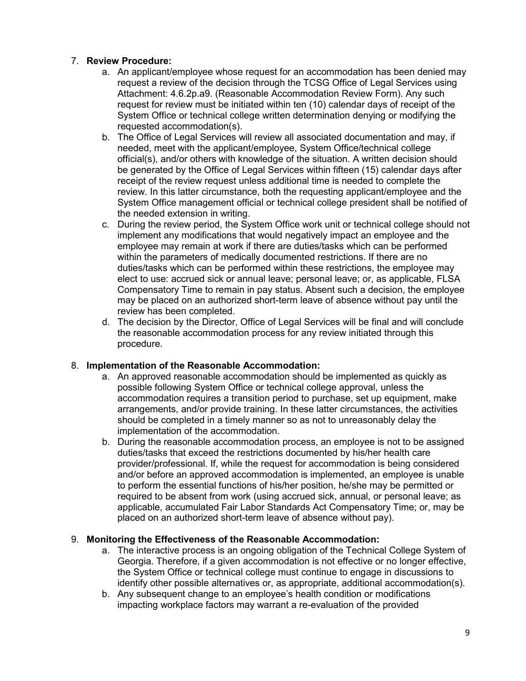# 7. **Review Procedure:**

- a. An applicant/employee whose request for an accommodation has been denied may request a review of the decision through the TCSG Office of Legal Services using Attachment: 4.6.2p.a9. (Reasonable Accommodation Review Form). Any such request for review must be initiated within ten (10) calendar days of receipt of the System Office or technical college written determination denying or modifying the requested accommodation(s).
- b. The Office of Legal Services will review all associated documentation and may, if needed, meet with the applicant/employee, System Office/technical college official(s), and/or others with knowledge of the situation. A written decision should be generated by the Office of Legal Services within fifteen (15) calendar days after receipt of the review request unless additional time is needed to complete the review. In this latter circumstance, both the requesting applicant/employee and the System Office management official or technical college president shall be notified of the needed extension in writing.
- c. During the review period, the System Office work unit or technical college should not implement any modifications that would negatively impact an employee and the employee may remain at work if there are duties/tasks which can be performed within the parameters of medically documented restrictions. If there are no duties/tasks which can be performed within these restrictions, the employee may elect to use: accrued sick or annual leave; personal leave; or, as applicable, FLSA Compensatory Time to remain in pay status. Absent such a decision, the employee may be placed on an authorized short-term leave of absence without pay until the review has been completed.
- d. The decision by the Director, Office of Legal Services will be final and will conclude the reasonable accommodation process for any review initiated through this procedure.

# 8. **Implementation of the Reasonable Accommodation:**

- a. An approved reasonable accommodation should be implemented as quickly as possible following System Office or technical college approval, unless the accommodation requires a transition period to purchase, set up equipment, make arrangements, and/or provide training. In these latter circumstances, the activities should be completed in a timely manner so as not to unreasonably delay the implementation of the accommodation.
- b. During the reasonable accommodation process, an employee is not to be assigned duties/tasks that exceed the restrictions documented by his/her health care provider/professional. If, while the request for accommodation is being considered and/or before an approved accommodation is implemented, an employee is unable to perform the essential functions of his/her position, he/she may be permitted or required to be absent from work (using accrued sick, annual, or personal leave; as applicable, accumulated Fair Labor Standards Act Compensatory Time; or, may be placed on an authorized short-term leave of absence without pay).

# 9. **Monitoring the Effectiveness of the Reasonable Accommodation:**

- a. The interactive process is an ongoing obligation of the Technical College System of Georgia. Therefore, if a given accommodation is not effective or no longer effective, the System Office or technical college must continue to engage in discussions to identify other possible alternatives or, as appropriate, additional accommodation(s).
- b. Any subsequent change to an employee's health condition or modifications impacting workplace factors may warrant a re-evaluation of the provided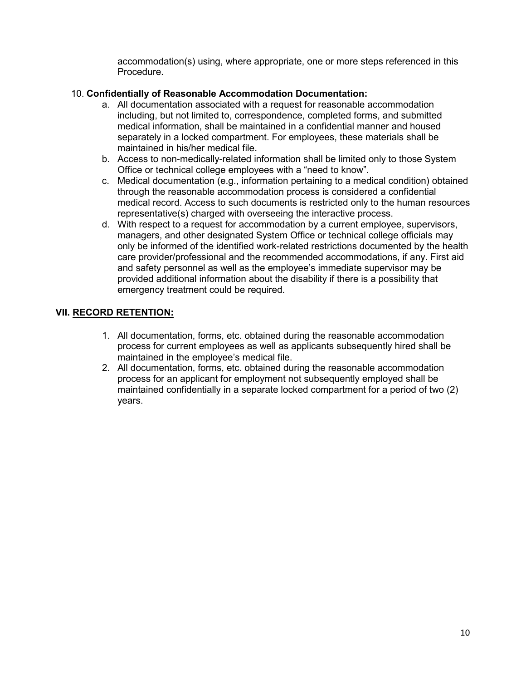accommodation(s) using, where appropriate, one or more steps referenced in this Procedure.

# 10. **Confidentially of Reasonable Accommodation Documentation:**

- a. All documentation associated with a request for reasonable accommodation including, but not limited to, correspondence, completed forms, and submitted medical information, shall be maintained in a confidential manner and housed separately in a locked compartment. For employees, these materials shall be maintained in his/her medical file.
- b. Access to non-medically-related information shall be limited only to those System Office or technical college employees with a "need to know".
- c. Medical documentation (e.g., information pertaining to a medical condition) obtained through the reasonable accommodation process is considered a confidential medical record. Access to such documents is restricted only to the human resources representative(s) charged with overseeing the interactive process.
- d. With respect to a request for accommodation by a current employee, supervisors, managers, and other designated System Office or technical college officials may only be informed of the identified work-related restrictions documented by the health care provider/professional and the recommended accommodations, if any. First aid and safety personnel as well as the employee's immediate supervisor may be provided additional information about the disability if there is a possibility that emergency treatment could be required.

# **VII. RECORD RETENTION:**

- 1. All documentation, forms, etc. obtained during the reasonable accommodation process for current employees as well as applicants subsequently hired shall be maintained in the employee's medical file.
- 2. All documentation, forms, etc. obtained during the reasonable accommodation process for an applicant for employment not subsequently employed shall be maintained confidentially in a separate locked compartment for a period of two (2) years.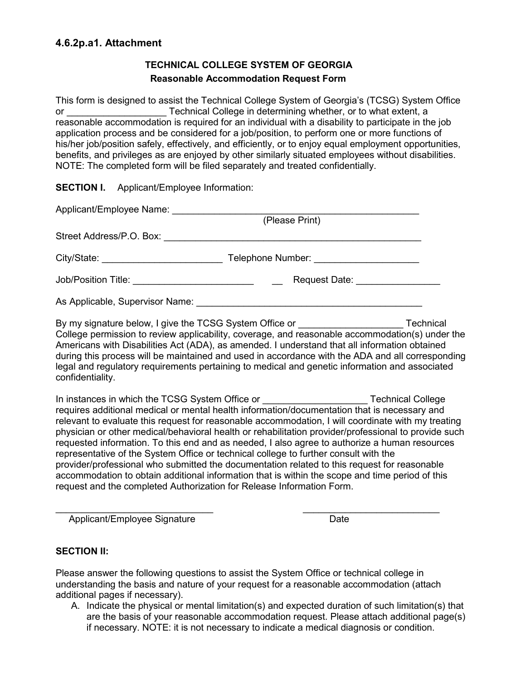# **TECHNICAL COLLEGE SYSTEM OF GEORGIA Reasonable Accommodation Request Form**

This form is designed to assist the Technical College System of Georgia's (TCSG) System Office or **EXALG EXALGE THE COLLEGE IN** determining whether, or to what extent, a reasonable accommodation is required for an individual with a disability to participate in the job application process and be considered for a job/position, to perform one or more functions of his/her job/position safely, effectively, and efficiently, or to enjoy equal employment opportunities, benefits, and privileges as are enjoyed by other similarly situated employees without disabilities. NOTE: The completed form will be filed separately and treated confidentially.

**SECTION I.** Applicant/Employee Information:

| (Please Print)                           |  |
|------------------------------------------|--|
|                                          |  |
| Telephone Number: ______________________ |  |
| Request Date: ________________           |  |
|                                          |  |

By my signature below, I give the TCSG System Office or Technical College permission to review applicability, coverage, and reasonable accommodation(s) under the Americans with Disabilities Act (ADA), as amended. I understand that all information obtained during this process will be maintained and used in accordance with the ADA and all corresponding legal and regulatory requirements pertaining to medical and genetic information and associated confidentiality.

In instances in which the TCSG System Office or **Example 20** Technical College requires additional medical or mental health information/documentation that is necessary and relevant to evaluate this request for reasonable accommodation, I will coordinate with my treating physician or other medical/behavioral health or rehabilitation provider/professional to provide such requested information. To this end and as needed, I also agree to authorize a human resources representative of the System Office or technical college to further consult with the provider/professional who submitted the documentation related to this request for reasonable accommodation to obtain additional information that is within the scope and time period of this request and the completed Authorization for Release Information Form.

 $\_$  , and the set of the set of the set of the set of the set of the set of the set of the set of the set of the set of the set of the set of the set of the set of the set of the set of the set of the set of the set of th Applicant/Employee Signature data and the Date

# **SECTION II:**

Please answer the following questions to assist the System Office or technical college in understanding the basis and nature of your request for a reasonable accommodation (attach additional pages if necessary).

A. Indicate the physical or mental limitation(s) and expected duration of such limitation(s) that are the basis of your reasonable accommodation request. Please attach additional page(s) if necessary. NOTE: it is not necessary to indicate a medical diagnosis or condition.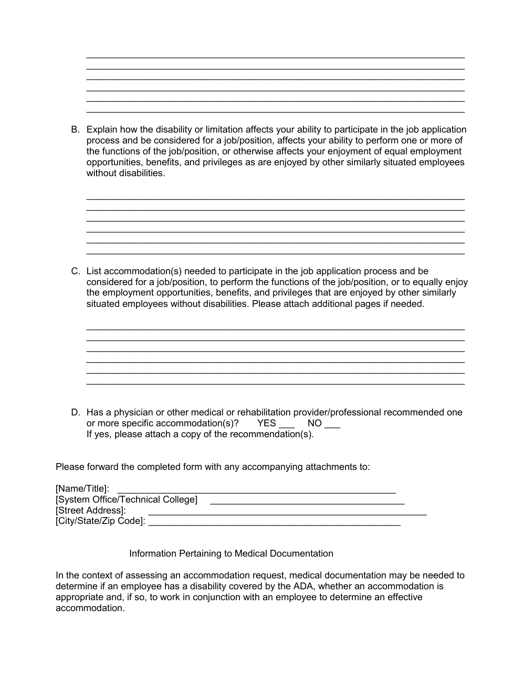B. Explain how the disability or limitation affects your ability to participate in the job application process and be considered for a job/position, affects your ability to perform one or more of the functions of the job/position, or otherwise affects your enjoyment of equal employment opportunities, benefits, and privileges as are enjoyed by other similarly situated employees without disabilities.

 $\_$  , and the set of the set of the set of the set of the set of the set of the set of the set of the set of the set of the set of the set of the set of the set of the set of the set of the set of the set of the set of th  $\_$  , and the set of the set of the set of the set of the set of the set of the set of the set of the set of the set of the set of the set of the set of the set of the set of the set of the set of the set of the set of th  $\mathcal{L}_\mathcal{L} = \mathcal{L}_\mathcal{L} = \mathcal{L}_\mathcal{L} = \mathcal{L}_\mathcal{L} = \mathcal{L}_\mathcal{L} = \mathcal{L}_\mathcal{L} = \mathcal{L}_\mathcal{L} = \mathcal{L}_\mathcal{L} = \mathcal{L}_\mathcal{L} = \mathcal{L}_\mathcal{L} = \mathcal{L}_\mathcal{L} = \mathcal{L}_\mathcal{L} = \mathcal{L}_\mathcal{L} = \mathcal{L}_\mathcal{L} = \mathcal{L}_\mathcal{L} = \mathcal{L}_\mathcal{L} = \mathcal{L}_\mathcal{L}$ 

\_\_\_\_\_\_\_\_\_\_\_\_\_\_\_\_\_\_\_\_\_\_\_\_\_\_\_\_\_\_\_\_\_\_\_\_\_\_\_\_\_\_\_\_\_\_\_\_\_\_\_\_\_\_\_\_\_\_\_\_\_\_\_\_\_\_\_\_\_\_\_\_

 $\_$  , and the set of the set of the set of the set of the set of the set of the set of the set of the set of the set of the set of the set of the set of the set of the set of the set of the set of the set of the set of th  $\_$  , and the set of the set of the set of the set of the set of the set of the set of the set of the set of the set of the set of the set of the set of the set of the set of the set of the set of the set of the set of th

 $\_$  , and the set of the set of the set of the set of the set of the set of the set of the set of the set of the set of the set of the set of the set of the set of the set of the set of the set of the set of the set of th

 $\_$  , and the set of the set of the set of the set of the set of the set of the set of the set of the set of the set of the set of the set of the set of the set of the set of the set of the set of the set of the set of th

\_\_\_\_\_\_\_\_\_\_\_\_\_\_\_\_\_\_\_\_\_\_\_\_\_\_\_\_\_\_\_\_\_\_\_\_\_\_\_\_\_\_\_\_\_\_\_\_\_\_\_\_\_\_\_\_\_\_\_\_\_\_\_\_\_\_\_\_\_\_\_\_

C. List accommodation(s) needed to participate in the job application process and be considered for a job/position, to perform the functions of the job/position, or to equally enjoy the employment opportunities, benefits, and privileges that are enjoyed by other similarly situated employees without disabilities. Please attach additional pages if needed.

 $\_$  , and the set of the set of the set of the set of the set of the set of the set of the set of the set of the set of the set of the set of the set of the set of the set of the set of the set of the set of the set of th

 $\_$  , and the set of the set of the set of the set of the set of the set of the set of the set of the set of the set of the set of the set of the set of the set of the set of the set of the set of the set of the set of th

D. Has a physician or other medical or rehabilitation provider/professional recommended one or more specific accommodation(s)? YES \_\_\_ NO \_\_\_ If yes, please attach a copy of the recommendation(s).

Please forward the completed form with any accompanying attachments to:

| [Name/Title]:                     |  |
|-----------------------------------|--|
| [System Office/Technical College] |  |
| [Street Address]:                 |  |
| [City/State/Zip Code]:            |  |

Information Pertaining to Medical Documentation

In the context of assessing an accommodation request, medical documentation may be needed to determine if an employee has a disability covered by the ADA, whether an accommodation is appropriate and, if so, to work in conjunction with an employee to determine an effective accommodation.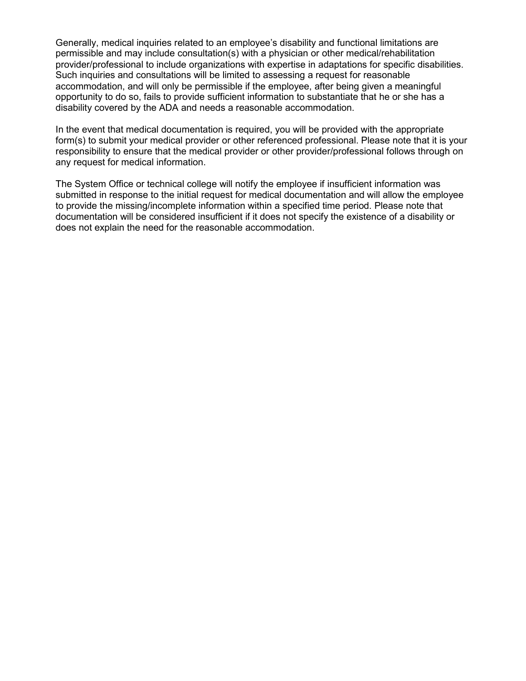Generally, medical inquiries related to an employee's disability and functional limitations are permissible and may include consultation(s) with a physician or other medical/rehabilitation provider/professional to include organizations with expertise in adaptations for specific disabilities. Such inquiries and consultations will be limited to assessing a request for reasonable accommodation, and will only be permissible if the employee, after being given a meaningful opportunity to do so, fails to provide sufficient information to substantiate that he or she has a disability covered by the ADA and needs a reasonable accommodation.

In the event that medical documentation is required, you will be provided with the appropriate form(s) to submit your medical provider or other referenced professional. Please note that it is your responsibility to ensure that the medical provider or other provider/professional follows through on any request for medical information.

The System Office or technical college will notify the employee if insufficient information was submitted in response to the initial request for medical documentation and will allow the employee to provide the missing/incomplete information within a specified time period. Please note that documentation will be considered insufficient if it does not specify the existence of a disability or does not explain the need for the reasonable accommodation.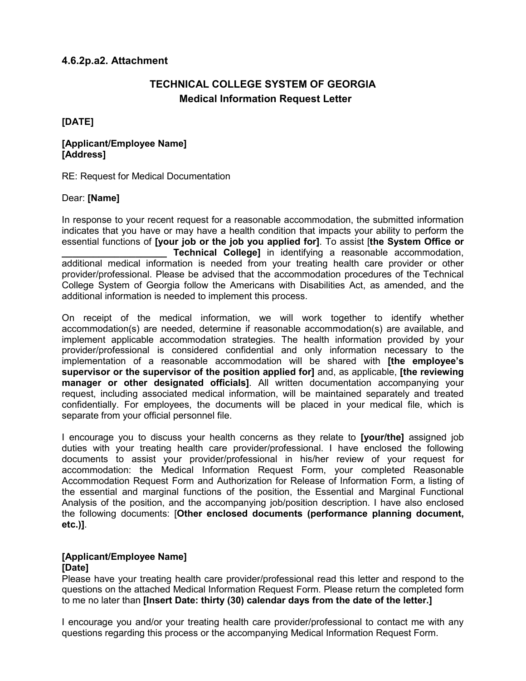# **4.6.2p.a2. Attachment**

# **TECHNICAL COLLEGE SYSTEM OF GEORGIA Medical Information Request Letter**

**[DATE]**

#### **[Applicant/Employee Name] [Address]**

RE: Request for Medical Documentation

# Dear: **[Name]**

In response to your recent request for a reasonable accommodation, the submitted information indicates that you have or may have a health condition that impacts your ability to perform the essential functions of **[your job or the job you applied for]**. To assist [**the System Office or Technical College]** in identifying a reasonable accommodation, additional medical information is needed from your treating health care provider or other provider/professional. Please be advised that the accommodation procedures of the Technical College System of Georgia follow the Americans with Disabilities Act, as amended, and the additional information is needed to implement this process.

On receipt of the medical information, we will work together to identify whether accommodation(s) are needed, determine if reasonable accommodation(s) are available, and implement applicable accommodation strategies. The health information provided by your provider/professional is considered confidential and only information necessary to the implementation of a reasonable accommodation will be shared with **[the employee's supervisor or the supervisor of the position applied for]** and, as applicable, **[the reviewing manager or other designated officials]**. All written documentation accompanying your request, including associated medical information, will be maintained separately and treated confidentially. For employees, the documents will be placed in your medical file, which is separate from your official personnel file.

I encourage you to discuss your health concerns as they relate to **[your/the]** assigned job duties with your treating health care provider/professional. I have enclosed the following documents to assist your provider/professional in his/her review of your request for accommodation: the Medical Information Request Form, your completed Reasonable Accommodation Request Form and Authorization for Release of Information Form, a listing of the essential and marginal functions of the position, the Essential and Marginal Functional Analysis of the position, and the accompanying job/position description. I have also enclosed the following documents: [**Other enclosed documents (performance planning document, etc.)]**.

# **[Applicant/Employee Name]**

# **[Date]**

Please have your treating health care provider/professional read this letter and respond to the questions on the attached Medical Information Request Form. Please return the completed form to me no later than **[Insert Date: thirty (30) calendar days from the date of the letter.]**

I encourage you and/or your treating health care provider/professional to contact me with any questions regarding this process or the accompanying Medical Information Request Form.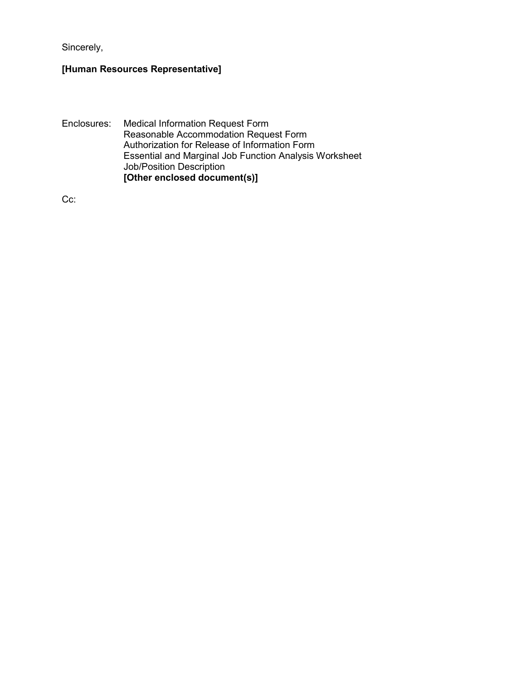Sincerely,

# **[Human Resources Representative]**

Enclosures: Medical Information Request Form Reasonable Accommodation Request Form Authorization for Release of Information Form Essential and Marginal Job Function Analysis Worksheet Job/Position Description **[Other enclosed document(s)]**

Cc: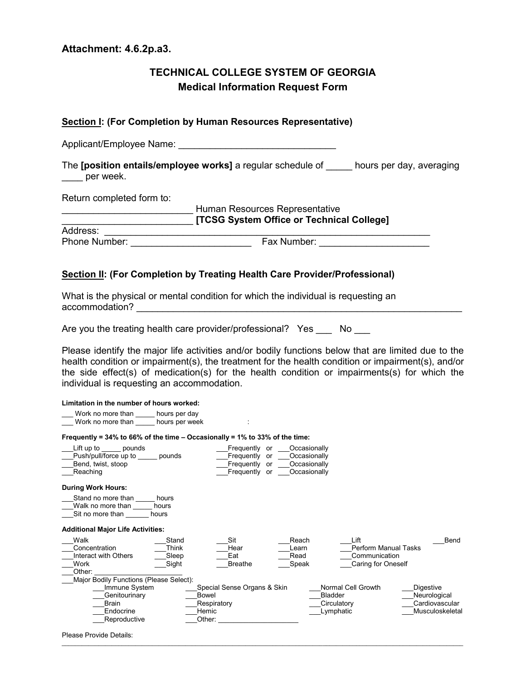### **Attachment: 4.6.2p.a3.**

# **TECHNICAL COLLEGE SYSTEM OF GEORGIA Medical Information Request Form**

# **Section I: (For Completion by Human Resources Representative)** Applicant/Employee Name: The **[position entails/employee works]** a regular schedule of \_\_\_\_\_ hours per day, averaging \_\_\_\_ per week. Return completed form to: \_\_\_\_\_\_\_\_\_\_\_\_\_\_\_\_\_\_\_\_\_\_\_\_\_ Human Resources Representative \_\_\_\_\_\_\_\_\_\_\_\_\_\_\_\_\_\_\_\_\_\_\_\_\_ **[TCSG System Office or Technical College]** Address: \_\_\_\_\_\_\_\_\_\_\_\_\_\_\_\_\_\_\_\_\_\_\_\_\_\_\_\_\_\_\_\_\_\_\_\_\_\_\_\_\_\_\_\_\_\_\_\_\_\_\_\_\_\_\_\_\_\_\_\_\_\_ Phone Number: \_\_\_\_\_\_\_\_\_\_\_\_\_\_\_\_\_\_\_\_\_\_\_ Fax Number: \_\_\_\_\_\_\_\_\_\_\_\_\_\_\_\_\_\_\_\_\_ **Section II: (For Completion by Treating Health Care Provider/Professional)**

What is the physical or mental condition for which the individual is requesting an accommodation? **with a set of the set of the set of the set of the set of the set of the set of the set of the set of the set of the set of the set of the set of the set of the set of the set of the set of the set of the s** 

Are you the treating health care provider/professional? Yes No

Please identify the major life activities and/or bodily functions below that are limited due to the health condition or impairment(s), the treatment for the health condition or impairment(s), and/or the side effect(s) of medication(s) for the health condition or impairments(s) for which the individual is requesting an accommodation.

| Limitation in the number of hours worked:                                       |                                  |                                                               |                                                                    |                                                                            |                                                                       |
|---------------------------------------------------------------------------------|----------------------------------|---------------------------------------------------------------|--------------------------------------------------------------------|----------------------------------------------------------------------------|-----------------------------------------------------------------------|
| Work no more than<br>Work no more than                                          | hours per day<br>hours per week  |                                                               |                                                                    |                                                                            |                                                                       |
| Frequently = $34\%$ to 66% of the time – Occasionally = 1% to 33% of the time:  |                                  |                                                               |                                                                    |                                                                            |                                                                       |
| Lift up to<br>pounds<br>Push/pull/force up to<br>Bend, twist, stoop<br>Reaching | pounds                           | Frequently or<br>Frequently or<br>Frequently or<br>Frequently | Occasionally<br>Occasionally<br>Occasionally<br>Occasionally<br>or |                                                                            |                                                                       |
| <b>During Work Hours:</b>                                                       |                                  |                                                               |                                                                    |                                                                            |                                                                       |
| Stand no more than<br>Walk no more than<br>Sit no more than                     | hours<br>hours<br>hours          |                                                               |                                                                    |                                                                            |                                                                       |
| <b>Additional Major Life Activities:</b>                                        |                                  |                                                               |                                                                    |                                                                            |                                                                       |
| Walk<br>Concentration<br>Interact with Others<br>Work<br>Other:                 | Stand<br>Think<br>Sleep<br>Sight | Sit<br>Hear<br>Eat<br><b>Breathe</b>                          | Reach<br>Learn<br>Read<br>Speak                                    | Lift<br><b>Perform Manual Tasks</b><br>Communication<br>Caring for Oneself | Bend                                                                  |
| Major Bodily Functions (Please Select):                                         |                                  |                                                               |                                                                    |                                                                            |                                                                       |
| Immune System<br>Genitourinary<br><b>Brain</b><br>Endocrine<br>Reproductive     | <b>Bowel</b><br>Hemic<br>Other:  | Special Sense Organs & Skin<br>Respiratory                    |                                                                    | Normal Cell Growth<br><b>Bladder</b><br>Circulatory<br>Lymphatic           | <b>Digestive</b><br>Neurological<br>Cardiovascular<br>Musculoskeletal |

\_\_\_\_\_\_\_\_\_\_\_\_\_\_\_\_\_\_\_\_\_\_\_\_\_\_\_\_\_\_\_\_\_\_\_\_\_\_\_\_\_\_\_\_\_\_\_\_\_\_\_\_\_\_\_\_\_\_\_\_\_\_\_\_\_\_\_\_\_\_\_\_\_\_\_\_\_\_\_\_\_\_\_\_\_\_\_\_\_\_\_\_\_\_\_\_\_\_\_\_\_\_\_\_\_\_\_\_\_\_\_\_\_\_\_\_\_\_\_\_

Please Provide Details: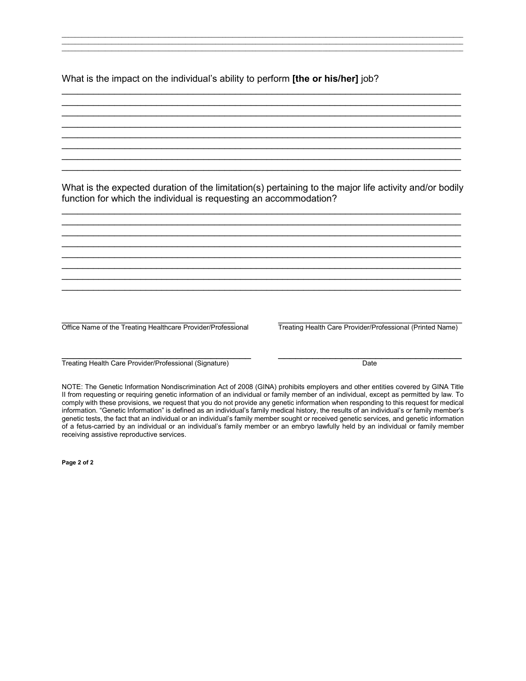What is the impact on the individual's ability to perform **[the or his/her]** job?

What is the expected duration of the limitation(s) pertaining to the major life activity and/or bodily function for which the individual is requesting an accommodation?

 $\mathcal{L}_\mathcal{L} = \{ \mathcal{L}_\mathcal{L} = \{ \mathcal{L}_\mathcal{L} = \{ \mathcal{L}_\mathcal{L} = \{ \mathcal{L}_\mathcal{L} = \{ \mathcal{L}_\mathcal{L} = \{ \mathcal{L}_\mathcal{L} = \{ \mathcal{L}_\mathcal{L} = \{ \mathcal{L}_\mathcal{L} = \{ \mathcal{L}_\mathcal{L} = \{ \mathcal{L}_\mathcal{L} = \{ \mathcal{L}_\mathcal{L} = \{ \mathcal{L}_\mathcal{L} = \{ \mathcal{L}_\mathcal{L} = \{ \mathcal{L}_\mathcal{$  $\_$  , and the contribution of the contribution of  $\mathcal{L}$  , and  $\mathcal{L}$  , and  $\mathcal{L}$  , and  $\mathcal{L}$  , and  $\mathcal{L}$  $\_$  , and the contribution of the contribution of  $\mathcal{L}$  , and  $\mathcal{L}$  , and  $\mathcal{L}$  , and  $\mathcal{L}$  , and  $\mathcal{L}$  $\mathcal{L}_\mathcal{L} = \{ \mathcal{L}_\mathcal{L} = \{ \mathcal{L}_\mathcal{L} = \{ \mathcal{L}_\mathcal{L} = \{ \mathcal{L}_\mathcal{L} = \{ \mathcal{L}_\mathcal{L} = \{ \mathcal{L}_\mathcal{L} = \{ \mathcal{L}_\mathcal{L} = \{ \mathcal{L}_\mathcal{L} = \{ \mathcal{L}_\mathcal{L} = \{ \mathcal{L}_\mathcal{L} = \{ \mathcal{L}_\mathcal{L} = \{ \mathcal{L}_\mathcal{L} = \{ \mathcal{L}_\mathcal{L} = \{ \mathcal{L}_\mathcal{$  $\mathcal{L}_\mathcal{L} = \{ \mathcal{L}_\mathcal{L} = \{ \mathcal{L}_\mathcal{L} = \{ \mathcal{L}_\mathcal{L} = \{ \mathcal{L}_\mathcal{L} = \{ \mathcal{L}_\mathcal{L} = \{ \mathcal{L}_\mathcal{L} = \{ \mathcal{L}_\mathcal{L} = \{ \mathcal{L}_\mathcal{L} = \{ \mathcal{L}_\mathcal{L} = \{ \mathcal{L}_\mathcal{L} = \{ \mathcal{L}_\mathcal{L} = \{ \mathcal{L}_\mathcal{L} = \{ \mathcal{L}_\mathcal{L} = \{ \mathcal{L}_\mathcal{$  $\_$  , and the contribution of the contribution of  $\mathcal{L}$  , and  $\mathcal{L}$  , and  $\mathcal{L}$  , and  $\mathcal{L}$  , and  $\mathcal{L}$  $\mathcal{L}_\mathcal{L} = \{ \mathcal{L}_\mathcal{L} = \{ \mathcal{L}_\mathcal{L} = \{ \mathcal{L}_\mathcal{L} = \{ \mathcal{L}_\mathcal{L} = \{ \mathcal{L}_\mathcal{L} = \{ \mathcal{L}_\mathcal{L} = \{ \mathcal{L}_\mathcal{L} = \{ \mathcal{L}_\mathcal{L} = \{ \mathcal{L}_\mathcal{L} = \{ \mathcal{L}_\mathcal{L} = \{ \mathcal{L}_\mathcal{L} = \{ \mathcal{L}_\mathcal{L} = \{ \mathcal{L}_\mathcal{L} = \{ \mathcal{L}_\mathcal{$  $\mathcal{L}_\mathcal{L} = \{ \mathcal{L}_\mathcal{L} = \{ \mathcal{L}_\mathcal{L} = \{ \mathcal{L}_\mathcal{L} = \{ \mathcal{L}_\mathcal{L} = \{ \mathcal{L}_\mathcal{L} = \{ \mathcal{L}_\mathcal{L} = \{ \mathcal{L}_\mathcal{L} = \{ \mathcal{L}_\mathcal{L} = \{ \mathcal{L}_\mathcal{L} = \{ \mathcal{L}_\mathcal{L} = \{ \mathcal{L}_\mathcal{L} = \{ \mathcal{L}_\mathcal{L} = \{ \mathcal{L}_\mathcal{L} = \{ \mathcal{L}_\mathcal{$ 

\_\_\_\_\_\_\_\_\_\_\_\_\_\_\_\_\_\_\_\_\_\_\_\_\_\_\_\_\_\_\_\_\_\_\_\_\_\_\_\_\_\_\_\_\_\_\_\_\_\_\_\_\_\_\_\_\_\_\_\_\_\_\_\_\_\_\_\_\_\_\_\_\_\_\_\_\_\_\_\_\_\_\_\_\_\_\_\_\_\_\_\_\_\_\_\_\_\_\_\_\_\_\_\_\_\_\_\_\_\_\_\_\_\_\_\_\_\_\_\_ \_\_\_\_\_\_\_\_\_\_\_\_\_\_\_\_\_\_\_\_\_\_\_\_\_\_\_\_\_\_\_\_\_\_\_\_\_\_\_\_\_\_\_\_\_\_\_\_\_\_\_\_\_\_\_\_\_\_\_\_\_\_\_\_\_\_\_\_\_\_\_\_\_\_\_\_\_\_\_\_\_\_\_\_\_\_\_\_\_\_\_\_\_\_\_\_\_\_\_\_\_\_\_\_\_\_\_\_\_\_\_\_\_\_\_\_\_\_\_\_ \_\_\_\_\_\_\_\_\_\_\_\_\_\_\_\_\_\_\_\_\_\_\_\_\_\_\_\_\_\_\_\_\_\_\_\_\_\_\_\_\_\_\_\_\_\_\_\_\_\_\_\_\_\_\_\_\_\_\_\_\_\_\_\_\_\_\_\_\_\_\_\_\_\_\_\_\_\_\_\_\_\_\_\_\_\_\_\_\_\_\_\_\_\_\_\_\_\_\_\_\_\_\_\_\_\_\_\_\_\_\_\_\_\_\_\_\_\_\_\_

 $\mathcal{L}_\text{max}$  , and the contribution of the contribution of the contribution of the contribution of the contribution of the contribution of the contribution of the contribution of the contribution of the contribution of t  $\mathcal{L}_\text{max}$  , and the contribution of the contribution of the contribution of the contribution of the contribution of the contribution of the contribution of the contribution of the contribution of the contribution of t \_\_\_\_\_\_\_\_\_\_\_\_\_\_\_\_\_\_\_\_\_\_\_\_\_\_\_\_\_\_\_\_\_\_\_\_\_\_\_\_\_\_\_\_\_\_\_\_\_\_\_\_\_\_\_\_\_\_\_\_\_\_\_\_\_\_\_\_\_\_\_\_\_\_\_\_ \_\_\_\_\_\_\_\_\_\_\_\_\_\_\_\_\_\_\_\_\_\_\_\_\_\_\_\_\_\_\_\_\_\_\_\_\_\_\_\_\_\_\_\_\_\_\_\_\_\_\_\_\_\_\_\_\_\_\_\_\_\_\_\_\_\_\_\_\_\_\_\_\_\_\_\_  $\mathcal{L}_\text{max}$  , and the contribution of the contribution of the contribution of the contribution of the contribution of the contribution of the contribution of the contribution of the contribution of the contribution of t \_\_\_\_\_\_\_\_\_\_\_\_\_\_\_\_\_\_\_\_\_\_\_\_\_\_\_\_\_\_\_\_\_\_\_\_\_\_\_\_\_\_\_\_\_\_\_\_\_\_\_\_\_\_\_\_\_\_\_\_\_\_\_\_\_\_\_\_\_\_\_\_\_\_\_\_ \_\_\_\_\_\_\_\_\_\_\_\_\_\_\_\_\_\_\_\_\_\_\_\_\_\_\_\_\_\_\_\_\_\_\_\_\_\_\_\_\_\_\_\_\_\_\_\_\_\_\_\_\_\_\_\_\_\_\_\_\_\_\_\_\_\_\_\_\_\_\_\_\_\_\_\_  $\mathcal{L}_\text{max}$  , and the contribution of the contribution of the contribution of the contribution of the contribution of the contribution of the contribution of the contribution of the contribution of the contribution of t

\_\_\_\_\_\_\_\_\_\_\_\_\_\_\_\_\_\_\_\_\_\_\_\_\_\_\_\_\_\_\_\_\_ \_\_\_\_\_\_\_\_\_\_\_\_\_\_\_\_\_\_\_\_\_\_\_\_\_\_\_\_\_\_\_\_\_\_\_ Office Name of the Treating Healthcare Provider/Professional Treating Health Care Provider/Professional (Printed Name)

\_\_\_\_\_\_\_\_\_\_\_\_\_\_\_\_\_\_\_\_\_\_\_\_\_\_\_\_\_\_\_\_\_ \_\_\_\_\_\_\_\_\_\_\_\_\_\_\_\_\_\_\_\_\_\_\_\_\_\_\_\_\_\_\_\_ Treating Health Care Provider/Professional (Signature) Date

NOTE: The Genetic Information Nondiscrimination Act of 2008 (GINA) prohibits employers and other entities covered by GINA Title II from requesting or requiring genetic information of an individual or family member of an individual, except as permitted by law. To comply with these provisions, we request that you do not provide any genetic information when responding to this request for medical information. "Genetic Information" is defined as an individual's family medical history, the results of an individual's or family member's genetic tests, the fact that an individual or an individual's family member sought or received genetic services, and genetic information of a fetus-carried by an individual or an individual's family member or an embryo lawfully held by an individual or family member receiving assistive reproductive services.

**Page 2 of 2**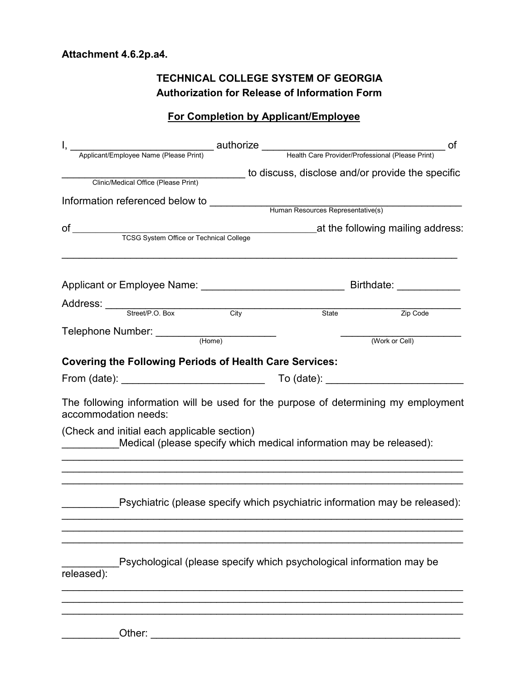# **TECHNICAL COLLEGE SYSTEM OF GEORGIA Authorization for Release of Information Form**

# **For Completion by Applicant/Employee**

| Clinic/Medical Office (Please Print) to discuss, disclose and/or provide the specific                       |                                   |                                                                             |  |
|-------------------------------------------------------------------------------------------------------------|-----------------------------------|-----------------------------------------------------------------------------|--|
|                                                                                                             |                                   |                                                                             |  |
| Information referenced below to                                                                             | Human Resources Representative(s) |                                                                             |  |
|                                                                                                             |                                   |                                                                             |  |
|                                                                                                             |                                   | at the following mailing address:                                           |  |
|                                                                                                             |                                   |                                                                             |  |
|                                                                                                             |                                   |                                                                             |  |
|                                                                                                             |                                   |                                                                             |  |
| Address: Street/P.O. Box City                                                                               |                                   |                                                                             |  |
|                                                                                                             | State                             | Zip Code                                                                    |  |
|                                                                                                             |                                   | (Work or Cell)                                                              |  |
|                                                                                                             |                                   |                                                                             |  |
| <b>Covering the Following Periods of Health Care Services:</b>                                              |                                   |                                                                             |  |
| From (date): _______________________________                                                                |                                   |                                                                             |  |
| The following information will be used for the purpose of determining my employment<br>accommodation needs: |                                   |                                                                             |  |
| (Check and initial each applicable section)                                                                 |                                   | Medical (please specify which medical information may be released):         |  |
|                                                                                                             |                                   | Psychiatric (please specify which psychiatric information may be released): |  |
| released):                                                                                                  |                                   | Psychological (please specify which psychological information may be        |  |
|                                                                                                             |                                   |                                                                             |  |

\_\_\_\_\_\_\_\_\_\_Other: \_\_\_\_\_\_\_\_\_\_\_\_\_\_\_\_\_\_\_\_\_\_\_\_\_\_\_\_\_\_\_\_\_\_\_\_\_\_\_\_\_\_\_\_\_\_\_\_\_\_\_\_\_\_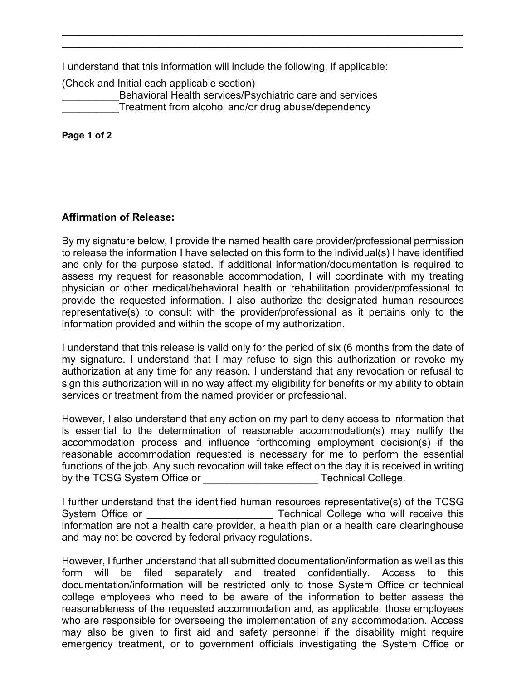I understand that this information will include the following, if applicable:

\_\_\_\_\_\_\_\_\_\_\_\_\_\_\_\_\_\_\_\_\_\_\_\_\_\_\_\_\_\_\_\_\_\_\_\_\_\_\_\_\_\_\_\_\_\_\_\_\_\_\_\_\_\_\_\_\_\_\_\_\_\_\_\_\_\_\_\_\_\_ \_\_\_\_\_\_\_\_\_\_\_\_\_\_\_\_\_\_\_\_\_\_\_\_\_\_\_\_\_\_\_\_\_\_\_\_\_\_\_\_\_\_\_\_\_\_\_\_\_\_\_\_\_\_\_\_\_\_\_\_\_\_\_\_\_\_\_\_\_\_

(Check and Initial each applicable section) Behavioral Health services/Psychiatric care and services Treatment from alcohol and/or drug abuse/dependency

**Page 1 of 2**

# **Affirmation of Release:**

By my signature below, I provide the named health care provider/professional permission to release the information I have selected on this form to the individual(s) I have identified and only for the purpose stated. If additional information/documentation is required to assess my request for reasonable accommodation, I will coordinate with my treating physician or other medical/behavioral health or rehabilitation provider/professional to provide the requested information. I also authorize the designated human resources representative(s) to consult with the provider/professional as it pertains only to the information provided and within the scope of my authorization.

I understand that this release is valid only for the period of six (6 months from the date of my signature. I understand that I may refuse to sign this authorization or revoke my authorization at any time for any reason. I understand that any revocation or refusal to sign this authorization will in no way affect my eligibility for benefits or my ability to obtain services or treatment from the named provider or professional.

However, I also understand that any action on my part to deny access to information that is essential to the determination of reasonable accommodation(s) may nullify the accommodation process and influence forthcoming employment decision(s) if the reasonable accommodation requested is necessary for me to perform the essential functions of the job. Any such revocation will take effect on the day it is received in writing by the TCSG System Office or **Example 20** Technical College.

I further understand that the identified human resources representative(s) of the TCSG System Office or **Example 20** Technical College who will receive this information are not a health care provider, a health plan or a health care clearinghouse and may not be covered by federal privacy regulations.

However, I further understand that all submitted documentation/information as well as this form will be filed separately and treated confidentially. Access to this documentation/information will be restricted only to those System Office or technical college employees who need to be aware of the information to better assess the reasonableness of the requested accommodation and, as applicable, those employees who are responsible for overseeing the implementation of any accommodation. Access may also be given to first aid and safety personnel if the disability might require emergency treatment, or to government officials investigating the System Office or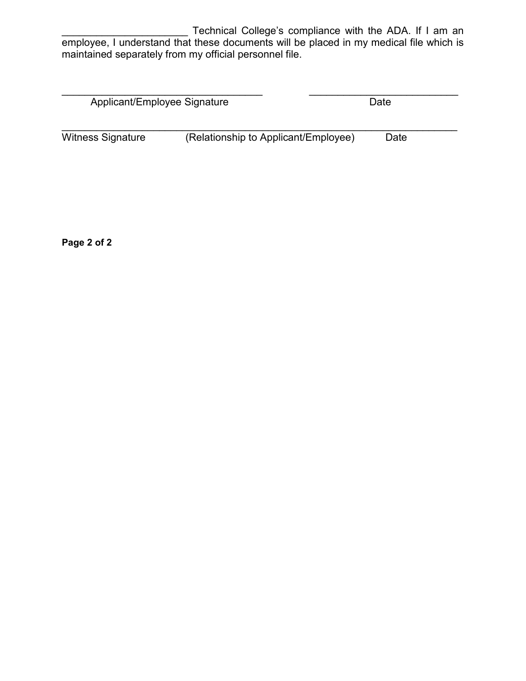Technical College's compliance with the ADA. If I am an employee, I understand that these documents will be placed in my medical file which is maintained separately from my official personnel file.

| Applicant/Employee Signature |                                      | Date |
|------------------------------|--------------------------------------|------|
|                              |                                      |      |
| Witness Signature            | (Relationship to Applicant/Employee) | Date |

**Page 2 of 2**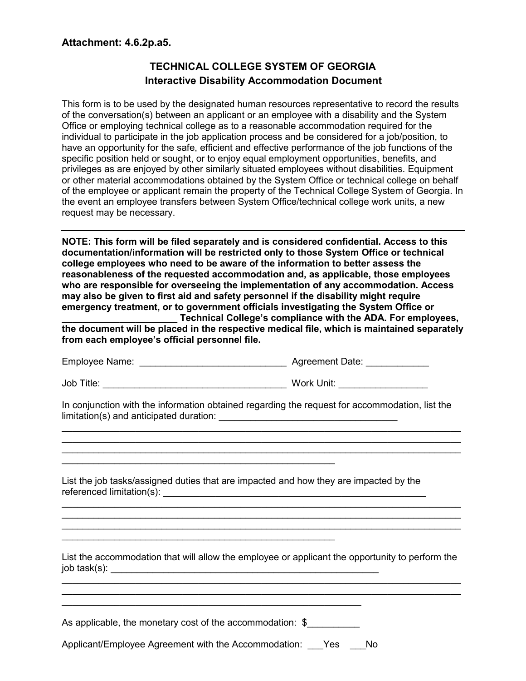# **TECHNICAL COLLEGE SYSTEM OF GEORGIA Interactive Disability Accommodation Document**

This form is to be used by the designated human resources representative to record the results of the conversation(s) between an applicant or an employee with a disability and the System Office or employing technical college as to a reasonable accommodation required for the individual to participate in the job application process and be considered for a job/position, to have an opportunity for the safe, efficient and effective performance of the job functions of the specific position held or sought, or to enjoy equal employment opportunities, benefits, and privileges as are enjoyed by other similarly situated employees without disabilities. Equipment or other material accommodations obtained by the System Office or technical college on behalf of the employee or applicant remain the property of the Technical College System of Georgia. In the event an employee transfers between System Office/technical college work units, a new request may be necessary.

**NOTE: This form will be filed separately and is considered confidential. Access to this documentation/information will be restricted only to those System Office or technical college employees who need to be aware of the information to better assess the reasonableness of the requested accommodation and, as applicable, those employees who are responsible for overseeing the implementation of any accommodation. Access may also be given to first aid and safety personnel if the disability might require emergency treatment, or to government officials investigating the System Office or** 

**\_\_\_\_\_\_\_\_\_\_\_\_\_\_\_\_\_\_\_\_\_\_ Technical College's compliance with the ADA. For employees, the document will be placed in the respective medical file, which is maintained separately from each employee's official personnel file.**

| Employee Name: | <b>Agreement Date:</b> |
|----------------|------------------------|
|----------------|------------------------|

Job Title: \_\_\_\_\_\_\_\_\_\_\_\_\_\_\_\_\_\_\_\_\_\_\_\_\_\_\_\_\_\_\_\_\_\_\_ Work Unit: \_\_\_\_\_\_\_\_\_\_\_\_\_\_\_\_\_

In conjunction with the information obtained regarding the request for accommodation, list the limitation(s) and anticipated duration: \_\_\_\_\_\_\_\_\_\_\_\_\_\_\_\_\_\_\_\_\_\_\_\_\_\_\_\_\_\_\_\_\_\_

\_\_\_\_\_\_\_\_\_\_\_\_\_\_\_\_\_\_\_\_\_\_\_\_\_\_\_\_\_\_\_\_\_\_\_\_\_\_\_\_\_\_\_\_\_\_\_\_\_\_\_\_\_\_\_\_\_\_\_\_\_\_\_\_\_\_\_\_\_\_\_\_\_\_\_\_

\_\_\_\_\_\_\_\_\_\_\_\_\_\_\_\_\_\_\_\_\_\_\_\_\_\_\_\_\_\_\_\_\_\_\_\_\_\_\_\_\_\_\_\_\_\_\_\_\_\_\_\_\_\_\_\_\_\_\_\_\_\_\_\_\_\_\_\_\_\_\_\_\_\_\_\_ \_\_\_\_\_\_\_\_\_\_\_\_\_\_\_\_\_\_\_\_\_\_\_\_\_\_\_\_\_\_\_\_\_\_\_\_\_\_\_\_\_\_\_\_\_\_\_\_\_\_\_\_\_\_\_\_\_\_\_\_\_\_\_\_\_\_\_\_\_\_\_\_\_\_\_\_ \_\_\_\_\_\_\_\_\_\_\_\_\_\_\_\_\_\_\_\_\_\_\_\_\_\_\_\_\_\_\_\_\_\_\_\_\_\_\_\_\_\_\_\_\_\_\_\_\_\_\_\_\_\_\_\_\_\_\_\_\_\_\_\_\_\_\_\_\_\_\_\_\_\_\_\_

List the job tasks/assigned duties that are impacted and how they are impacted by the referenced limitation(s):

List the accommodation that will allow the employee or applicant the opportunity to perform the  $job task(s):$ \_\_\_\_\_\_\_\_\_\_\_\_\_\_\_\_\_\_\_\_\_\_\_\_\_\_\_\_\_\_\_\_\_\_\_\_\_\_\_\_\_\_\_\_\_\_\_\_\_\_\_\_\_\_\_\_\_\_\_\_\_\_\_\_\_\_\_\_\_\_\_\_\_\_\_\_

\_\_\_\_\_\_\_\_\_\_\_\_\_\_\_\_\_\_\_\_\_\_\_\_\_\_\_\_\_\_\_\_\_\_\_\_\_\_\_\_\_\_\_\_\_\_\_\_\_\_\_\_\_\_\_\_\_\_\_\_\_\_\_\_\_\_\_\_\_\_\_\_\_\_\_\_

As applicable, the monetary cost of the accommodation: \$

\_\_\_\_\_\_\_\_\_\_\_\_\_\_\_\_\_\_\_\_\_\_\_\_\_\_\_\_\_\_\_\_\_\_\_\_\_\_\_\_\_\_\_\_\_\_\_\_\_\_\_\_

Applicant/Employee Agreement with the Accommodation: Yes No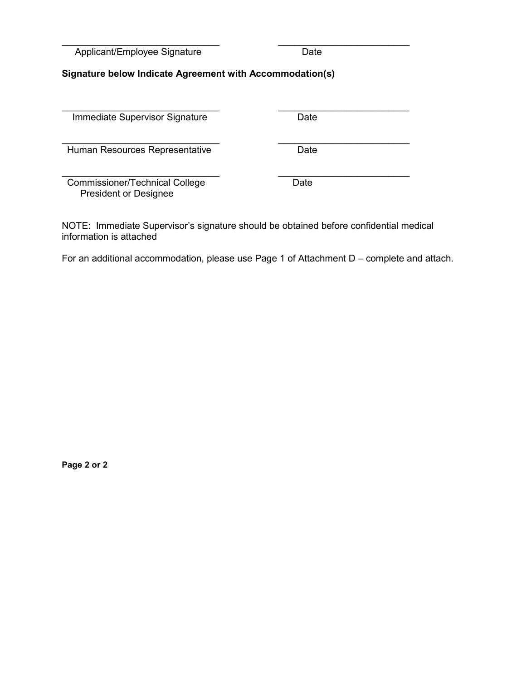Applicant/Employee Signature Date

# **Signature below Indicate Agreement with Accommodation(s)**

\_\_\_\_\_\_\_\_\_\_\_\_\_\_\_\_\_\_\_\_\_\_\_\_\_\_\_\_\_\_ \_\_\_\_\_\_\_\_\_\_\_\_\_\_\_\_\_\_\_\_\_\_\_\_\_

\_\_\_\_\_\_\_\_\_\_\_\_\_\_\_\_\_\_\_\_\_\_\_\_\_\_\_\_\_\_ \_\_\_\_\_\_\_\_\_\_\_\_\_\_\_\_\_\_\_\_\_\_\_\_\_ Immediate Supervisor Signature Date

\_\_\_\_\_\_\_\_\_\_\_\_\_\_\_\_\_\_\_\_\_\_\_\_\_\_\_\_\_\_ \_\_\_\_\_\_\_\_\_\_\_\_\_\_\_\_\_\_\_\_\_\_\_\_\_ Human Resources Representative **Date** 

\_\_\_\_\_\_\_\_\_\_\_\_\_\_\_\_\_\_\_\_\_\_\_\_\_\_\_\_\_\_ \_\_\_\_\_\_\_\_\_\_\_\_\_\_\_\_\_\_\_\_\_\_\_\_\_ Commissioner/Technical College Date President or Designee

NOTE: Immediate Supervisor's signature should be obtained before confidential medical information is attached

For an additional accommodation, please use Page 1 of Attachment D – complete and attach.

**Page 2 or 2**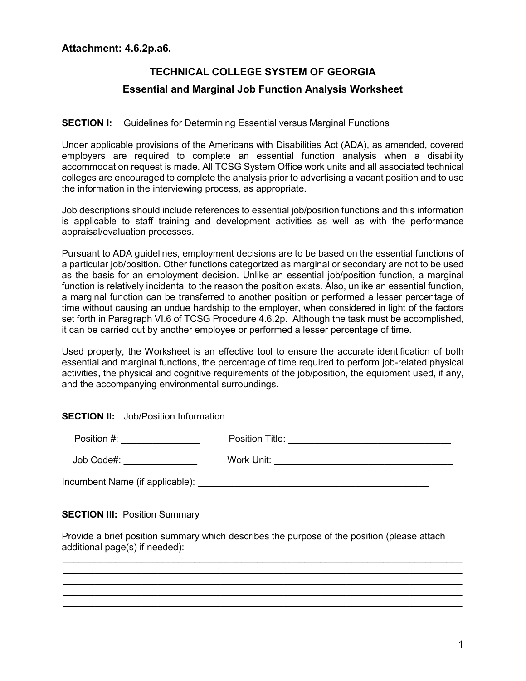# **TECHNICAL COLLEGE SYSTEM OF GEORGIA Essential and Marginal Job Function Analysis Worksheet**

# **SECTION I:** Guidelines for Determining Essential versus Marginal Functions

Under applicable provisions of the Americans with Disabilities Act (ADA), as amended, covered employers are required to complete an essential function analysis when a disability accommodation request is made. All TCSG System Office work units and all associated technical colleges are encouraged to complete the analysis prior to advertising a vacant position and to use the information in the interviewing process, as appropriate.

Job descriptions should include references to essential job/position functions and this information is applicable to staff training and development activities as well as with the performance appraisal/evaluation processes.

Pursuant to ADA guidelines, employment decisions are to be based on the essential functions of a particular job/position. Other functions categorized as marginal or secondary are not to be used as the basis for an employment decision. Unlike an essential job/position function, a marginal function is relatively incidental to the reason the position exists. Also, unlike an essential function, a marginal function can be transferred to another position or performed a lesser percentage of time without causing an undue hardship to the employer, when considered in light of the factors set forth in Paragraph VI.6 of TCSG Procedure 4.6.2p. Although the task must be accomplished, it can be carried out by another employee or performed a lesser percentage of time.

Used properly, the Worksheet is an effective tool to ensure the accurate identification of both essential and marginal functions, the percentage of time required to perform job-related physical activities, the physical and cognitive requirements of the job/position, the equipment used, if any, and the accompanying environmental surroundings.

# **SECTION II:** Job/Position Information

| Position #:                     | Position Title: |
|---------------------------------|-----------------|
| Job Code#:                      | Work Unit:      |
| Incumbent Name (if applicable): |                 |

**SECTION III: Position Summary** 

Provide a brief position summary which describes the purpose of the position (please attach additional page(s) if needed):

\_\_\_\_\_\_\_\_\_\_\_\_\_\_\_\_\_\_\_\_\_\_\_\_\_\_\_\_\_\_\_\_\_\_\_\_\_\_\_\_\_\_\_\_\_\_\_\_\_\_\_\_\_\_\_\_\_\_\_\_\_\_\_\_\_\_\_\_\_\_\_\_\_\_\_\_  $\_$  , and the set of the set of the set of the set of the set of the set of the set of the set of the set of the set of the set of the set of the set of the set of the set of the set of the set of the set of the set of th \_\_\_\_\_\_\_\_\_\_\_\_\_\_\_\_\_\_\_\_\_\_\_\_\_\_\_\_\_\_\_\_\_\_\_\_\_\_\_\_\_\_\_\_\_\_\_\_\_\_\_\_\_\_\_\_\_\_\_\_\_\_\_\_\_\_\_\_\_\_\_\_\_\_\_\_ \_\_\_\_\_\_\_\_\_\_\_\_\_\_\_\_\_\_\_\_\_\_\_\_\_\_\_\_\_\_\_\_\_\_\_\_\_\_\_\_\_\_\_\_\_\_\_\_\_\_\_\_\_\_\_\_\_\_\_\_\_\_\_\_\_\_\_\_\_\_\_\_\_\_\_\_  $\_$  , and the set of the set of the set of the set of the set of the set of the set of the set of the set of the set of the set of the set of the set of the set of the set of the set of the set of the set of the set of th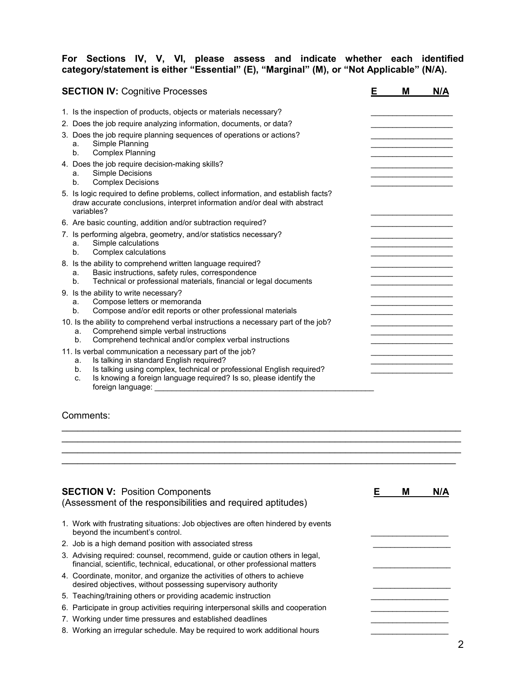# **For Sections IV, V, VI, please assess and indicate whether each identified category/statement is either "Essential" (E), "Marginal" (M), or "Not Applicable" (N/A).**

| <b>SECTION IV: Cognitive Processes</b>                                                                                                                                                                                                                                                     | Е | M                                             | N/A |
|--------------------------------------------------------------------------------------------------------------------------------------------------------------------------------------------------------------------------------------------------------------------------------------------|---|-----------------------------------------------|-----|
| 1. Is the inspection of products, objects or materials necessary?                                                                                                                                                                                                                          |   |                                               |     |
| 2. Does the job require analyzing information, documents, or data?                                                                                                                                                                                                                         |   |                                               |     |
| 3. Does the job require planning sequences of operations or actions?<br>Simple Planning<br>a.<br><b>Complex Planning</b><br>b.                                                                                                                                                             |   |                                               |     |
| 4. Does the job require decision-making skills?<br>Simple Decisions<br>a.<br><b>Complex Decisions</b><br>$b_{-}$                                                                                                                                                                           |   | <u> 1980 - Johann John Harrison, markin a</u> |     |
| 5. Is logic required to define problems, collect information, and establish facts?<br>draw accurate conclusions, interpret information and/or deal with abstract<br>variables?                                                                                                             |   |                                               |     |
| 6. Are basic counting, addition and/or subtraction required?                                                                                                                                                                                                                               |   |                                               |     |
| 7. Is performing algebra, geometry, and/or statistics necessary?<br>Simple calculations<br>a.<br>Complex calculations<br>b.                                                                                                                                                                |   |                                               |     |
| 8. Is the ability to comprehend written language required?<br>Basic instructions, safety rules, correspondence<br>a.<br>Technical or professional materials, financial or legal documents<br>b.                                                                                            |   |                                               |     |
| 9. Is the ability to write necessary?<br>Compose letters or memoranda<br>a.<br>Compose and/or edit reports or other professional materials<br>b.                                                                                                                                           |   |                                               |     |
| 10. Is the ability to comprehend verbal instructions a necessary part of the job?<br>Comprehend simple verbal instructions<br>a.<br>Comprehend technical and/or complex verbal instructions<br>b.                                                                                          |   |                                               |     |
| 11. Is verbal communication a necessary part of the job?<br>Is talking in standard English required?<br>a.<br>Is talking using complex, technical or professional English required?<br>b.<br>Is knowing a foreign language required? Is so, please identify the<br>C.<br>foreign language: |   |                                               |     |

Comments:

| <b>SECTION V: Position Components</b><br>(Assessment of the responsibilities and required aptitudes)                                                        | M | N/A |
|-------------------------------------------------------------------------------------------------------------------------------------------------------------|---|-----|
| 1. Work with frustrating situations: Job objectives are often hindered by events<br>beyond the incumbent's control.                                         |   |     |
| 2. Job is a high demand position with associated stress                                                                                                     |   |     |
| 3. Advising required: counsel, recommend, quide or caution others in legal,<br>financial, scientific, technical, educational, or other professional matters |   |     |
| 4. Coordinate, monitor, and organize the activities of others to achieve<br>desired objectives, without possessing supervisory authority                    |   |     |
| 5. Teaching/training others or providing academic instruction                                                                                               |   |     |
| 6. Participate in group activities requiring interpersonal skills and cooperation                                                                           |   |     |
| 7. Working under time pressures and established deadlines                                                                                                   |   |     |
| 8. Working an irregular schedule. May be required to work additional hours                                                                                  |   |     |

 $\mathcal{L}_\mathcal{L} = \{ \mathcal{L}_\mathcal{L} = \{ \mathcal{L}_\mathcal{L} = \{ \mathcal{L}_\mathcal{L} = \{ \mathcal{L}_\mathcal{L} = \{ \mathcal{L}_\mathcal{L} = \{ \mathcal{L}_\mathcal{L} = \{ \mathcal{L}_\mathcal{L} = \{ \mathcal{L}_\mathcal{L} = \{ \mathcal{L}_\mathcal{L} = \{ \mathcal{L}_\mathcal{L} = \{ \mathcal{L}_\mathcal{L} = \{ \mathcal{L}_\mathcal{L} = \{ \mathcal{L}_\mathcal{L} = \{ \mathcal{L}_\mathcal{$  $\mathcal{L}_\mathcal{L} = \{ \mathcal{L}_\mathcal{L} = \{ \mathcal{L}_\mathcal{L} = \{ \mathcal{L}_\mathcal{L} = \{ \mathcal{L}_\mathcal{L} = \{ \mathcal{L}_\mathcal{L} = \{ \mathcal{L}_\mathcal{L} = \{ \mathcal{L}_\mathcal{L} = \{ \mathcal{L}_\mathcal{L} = \{ \mathcal{L}_\mathcal{L} = \{ \mathcal{L}_\mathcal{L} = \{ \mathcal{L}_\mathcal{L} = \{ \mathcal{L}_\mathcal{L} = \{ \mathcal{L}_\mathcal{L} = \{ \mathcal{L}_\mathcal{$  $\mathcal{L}_\text{max}$  and  $\mathcal{L}_\text{max}$  and  $\mathcal{L}_\text{max}$  and  $\mathcal{L}_\text{max}$  and  $\mathcal{L}_\text{max}$  and  $\mathcal{L}_\text{max}$  $\overline{\phantom{a}}$  , and the contribution of the contribution of the contribution of the contribution of the contribution of the contribution of the contribution of the contribution of the contribution of the contribution of the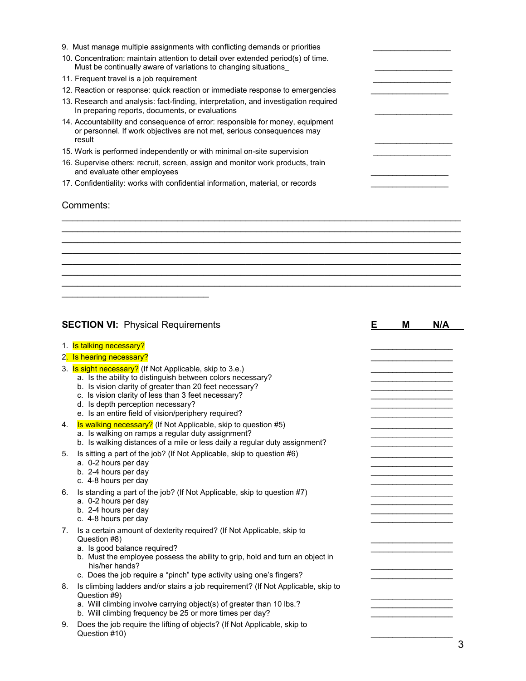| 9. Must manage multiple assignments with conflicting demands or priorities                                                                                        |  |
|-------------------------------------------------------------------------------------------------------------------------------------------------------------------|--|
| 10. Concentration: maintain attention to detail over extended period(s) of time.<br>Must be continually aware of variations to changing situations                |  |
| 11. Frequent travel is a job requirement                                                                                                                          |  |
| 12. Reaction or response: quick reaction or immediate response to emergencies                                                                                     |  |
| 13. Research and analysis: fact-finding, interpretation, and investigation required<br>In preparing reports, documents, or evaluations                            |  |
| 14. Accountability and consequence of error: responsible for money, equipment<br>or personnel. If work objectives are not met, serious consequences may<br>result |  |
| 15. Work is performed independently or with minimal on-site supervision                                                                                           |  |
| 16. Supervise others: recruit, screen, assign and monitor work products, train<br>and evaluate other employees                                                    |  |
| 17. Confidentiality: works with confidential information, material, or records                                                                                    |  |
| Comments:                                                                                                                                                         |  |
|                                                                                                                                                                   |  |
|                                                                                                                                                                   |  |

\_\_\_\_\_\_\_\_\_\_\_\_\_\_\_\_\_\_\_\_\_\_\_\_\_\_\_\_\_\_\_\_\_\_\_\_\_\_\_\_\_\_\_\_\_\_\_\_\_\_\_\_\_\_\_\_\_\_\_\_\_\_\_\_\_\_\_\_\_\_\_\_\_\_\_\_  $\mathcal{L}_\text{max}$  , and the contribution of the contribution of the contribution of the contribution of the contribution of the contribution of the contribution of the contribution of the contribution of the contribution of t \_\_\_\_\_\_\_\_\_\_\_\_\_\_\_\_\_\_\_\_\_\_\_\_\_\_\_\_\_\_\_\_\_\_\_\_\_\_\_\_\_\_\_\_\_\_\_\_\_\_\_\_\_\_\_\_\_\_\_\_\_\_\_\_\_\_\_\_\_\_\_\_\_\_\_\_ \_\_\_\_\_\_\_\_\_\_\_\_\_\_\_\_\_\_\_\_\_\_\_\_\_\_\_\_\_\_\_\_\_\_\_\_\_\_\_\_\_\_\_\_\_\_\_\_\_\_\_\_\_\_\_\_\_\_\_\_\_\_\_\_\_\_\_\_\_\_\_\_\_\_\_\_

|             | <b>SECTION VI: Physical Requirements</b>                                                                                                                                                                                                                                                                                             | Е | M | N/A |
|-------------|--------------------------------------------------------------------------------------------------------------------------------------------------------------------------------------------------------------------------------------------------------------------------------------------------------------------------------------|---|---|-----|
|             | 1. Is talking necessary?<br>2. Is hearing necessary?                                                                                                                                                                                                                                                                                 |   |   |     |
|             | 3. Is sight necessary? (If Not Applicable, skip to 3.e.)<br>a. Is the ability to distinguish between colors necessary?<br>b. Is vision clarity of greater than 20 feet necessary?<br>c. Is vision clarity of less than 3 feet necessary?<br>d. Is depth perception necessary?<br>e. Is an entire field of vision/periphery required? |   |   |     |
| 4.          | Is walking necessary? (If Not Applicable, skip to question #5)<br>a. Is walking on ramps a regular duty assignment?<br>b. Is walking distances of a mile or less daily a regular duty assignment?                                                                                                                                    |   |   |     |
| 5.          | Is sitting a part of the job? (If Not Applicable, skip to question #6)<br>a. 0-2 hours per day<br>b. 2-4 hours per day<br>c. 4-8 hours per day                                                                                                                                                                                       |   |   |     |
| 6.          | Is standing a part of the job? (If Not Applicable, skip to question #7)<br>a. 0-2 hours per day<br>b. 2-4 hours per day<br>c. 4-8 hours per day                                                                                                                                                                                      |   |   |     |
| $7_{\cdot}$ | Is a certain amount of dexterity required? (If Not Applicable, skip to<br>Question #8)<br>a. Is good balance required?<br>b. Must the employee possess the ability to grip, hold and turn an object in<br>his/her hands?<br>c. Does the job require a "pinch" type activity using one's fingers?                                     |   |   |     |
| 8.          | Is climbing ladders and/or stairs a job requirement? (If Not Applicable, skip to<br>Question #9)<br>a. Will climbing involve carrying object(s) of greater than 10 lbs.?<br>b. Will climbing frequency be 25 or more times per day?                                                                                                  |   |   |     |
| g           | Does the job require the lifting of objects? (If Not Applicable, skip to                                                                                                                                                                                                                                                             |   |   |     |

9. Does the job require the lifting of objects? (If Not Applicable, skip to Question #10) \_\_\_\_\_\_\_\_\_\_\_\_\_\_\_\_\_\_\_

 $\mathcal{L}_\text{max}$  , which is a set of the set of the set of the set of the set of the set of the set of the set of the set of the set of the set of the set of the set of the set of the set of the set of the set of the set of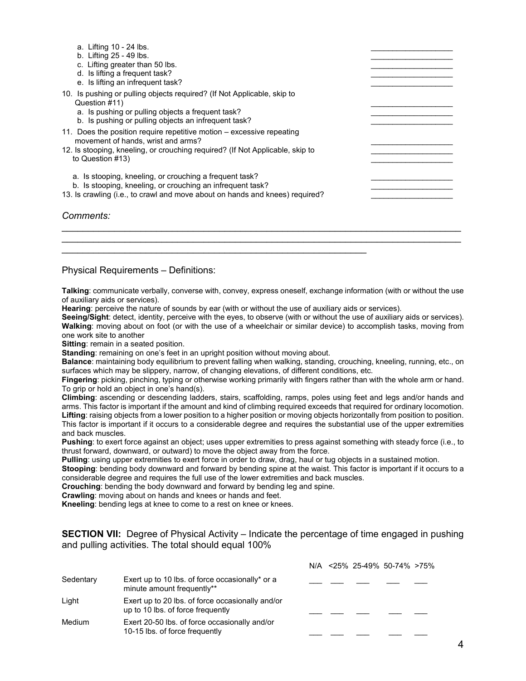| a. Lifting 10 - 24 lbs.<br>b. Lifting 25 - 49 lbs.<br>c. Lifting greater than 50 lbs.<br>d. Is lifting a frequent task?<br>e. Is lifting an infrequent task?                                                     |  |
|------------------------------------------------------------------------------------------------------------------------------------------------------------------------------------------------------------------|--|
| 10. Is pushing or pulling objects required? (If Not Applicable, skip to<br>Question #11)<br>a. Is pushing or pulling objects a frequent task?<br>b. Is pushing or pulling objects an infrequent task?            |  |
| 11. Does the position require repetitive motion – excessive repeating<br>movement of hands, wrist and arms?<br>12. Is stooping, kneeling, or crouching reguired? (If Not Applicable, skip to<br>to Question #13) |  |
| a. Is stooping, kneeling, or crouching a frequent task?<br>b. Is stooping, kneeling, or crouching an infrequent task?<br>13. Is crawling (i.e., to crawl and move about on hands and knees) required?            |  |

#### *Comments:*

Physical Requirements – Definitions:

**Talking**: communicate verbally, converse with, convey, express oneself, exchange information (with or without the use of auxiliary aids or services).

 $\mathcal{L}_\text{max}$  , and the contribution of the contribution of the contribution of the contribution of the contribution of the contribution of the contribution of the contribution of the contribution of the contribution of t  $\mathcal{L}_\text{max}$  , and the contribution of the contribution of the contribution of the contribution of the contribution of the contribution of the contribution of the contribution of the contribution of the contribution of t

**Hearing**: perceive the nature of sounds by ear (with or without the use of auxiliary aids or services).

 $\frac{1}{2}$  ,  $\frac{1}{2}$  ,  $\frac{1}{2}$  ,  $\frac{1}{2}$  ,  $\frac{1}{2}$  ,  $\frac{1}{2}$  ,  $\frac{1}{2}$  ,  $\frac{1}{2}$  ,  $\frac{1}{2}$  ,  $\frac{1}{2}$  ,  $\frac{1}{2}$  ,  $\frac{1}{2}$  ,  $\frac{1}{2}$  ,  $\frac{1}{2}$  ,  $\frac{1}{2}$  ,  $\frac{1}{2}$  ,  $\frac{1}{2}$  ,  $\frac{1}{2}$  ,  $\frac{1$ 

**Seeing/Sight**: detect, identity, perceive with the eyes, to observe (with or without the use of auxiliary aids or services). **Walking**: moving about on foot (or with the use of a wheelchair or similar device) to accomplish tasks, moving from one work site to another

**Sitting**: remain in a seated position.

**Standing**: remaining on one's feet in an upright position without moving about.

**Balance**: maintaining body equilibrium to prevent falling when walking, standing, crouching, kneeling, running, etc., on surfaces which may be slippery, narrow, of changing elevations, of different conditions, etc.

**Fingering**: picking, pinching, typing or otherwise working primarily with fingers rather than with the whole arm or hand. To grip or hold an object in one's hand(s).

**Climbing**: ascending or descending ladders, stairs, scaffolding, ramps, poles using feet and legs and/or hands and arms. This factor is important if the amount and kind of climbing required exceeds that required for ordinary locomotion. Lifting: raising objects from a lower position to a higher position or moving objects horizontally from position to position. This factor is important if it occurs to a considerable degree and requires the substantial use of the upper extremities and back muscles.

**Pushing**: to exert force against an object; uses upper extremities to press against something with steady force (i.e., to thrust forward, downward, or outward) to move the object away from the force.

**Pulling**: using upper extremities to exert force in order to draw, drag, haul or tug objects in a sustained motion.

**Stooping**: bending body downward and forward by bending spine at the waist. This factor is important if it occurs to a considerable degree and requires the full use of the lower extremities and back muscles.

**Crouching**: bending the body downward and forward by bending leg and spine.

**Crawling**: moving about on hands and knees or hands and feet.

**Kneeling**: bending legs at knee to come to a rest on knee or knees.

**SECTION VII:** Degree of Physical Activity – Indicate the percentage of time engaged in pushing and pulling activities. The total should equal 100%

|           |                                                                                       |  | N/A <25% 25-49% 50-74% >75% |  |
|-----------|---------------------------------------------------------------------------------------|--|-----------------------------|--|
| Sedentary | Exert up to 10 lbs. of force occasionally* or a<br>minute amount frequently**         |  |                             |  |
| Light     | Exert up to 20 lbs. of force occasionally and/or<br>up to 10 lbs. of force frequently |  |                             |  |
| Medium    | Exert 20-50 lbs. of force occasionally and/or<br>10-15 lbs. of force frequently       |  |                             |  |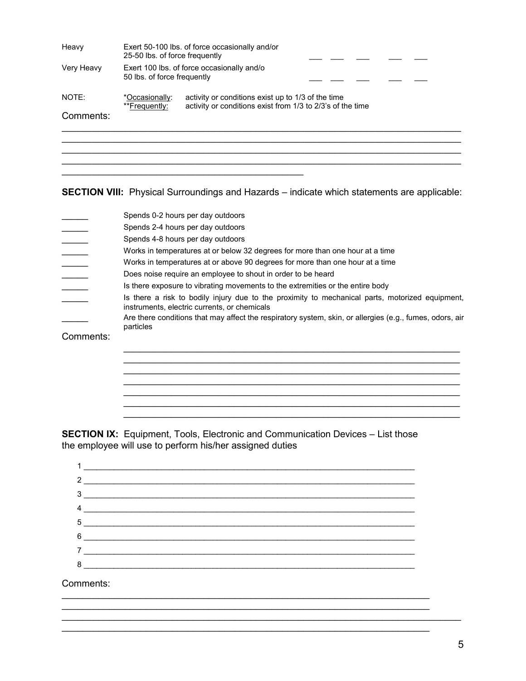| Heavy              | Exert 50-100 lbs. of force occasionally and/or<br>25-50 lbs. of force frequently |                                                                                                                  |  |  |  |  |  |
|--------------------|----------------------------------------------------------------------------------|------------------------------------------------------------------------------------------------------------------|--|--|--|--|--|
| Very Heavy         | Exert 100 lbs. of force occasionally and/o<br>50 lbs. of force frequently        |                                                                                                                  |  |  |  |  |  |
| NOTE:<br>Comments: | *Occasionally:<br>**Frequently:                                                  | activity or conditions exist up to 1/3 of the time<br>activity or conditions exist from 1/3 to 2/3's of the time |  |  |  |  |  |
|                    |                                                                                  |                                                                                                                  |  |  |  |  |  |
|                    |                                                                                  |                                                                                                                  |  |  |  |  |  |

**SECTION VIII:** Physical Surroundings and Hazards – indicate which statements are applicable:

|           | Spends 0-2 hours per day outdoors                                                                                                               |
|-----------|-------------------------------------------------------------------------------------------------------------------------------------------------|
|           | Spends 2-4 hours per day outdoors                                                                                                               |
|           | Spends 4-8 hours per day outdoors                                                                                                               |
|           | Works in temperatures at or below 32 degrees for more than one hour at a time                                                                   |
|           | Works in temperatures at or above 90 degrees for more than one hour at a time                                                                   |
|           | Does noise require an employee to shout in order to be heard                                                                                    |
|           | Is there exposure to vibrating movements to the extremities or the entire body                                                                  |
|           | Is there a risk to bodily injury due to the proximity to mechanical parts, motorized equipment,<br>instruments, electric currents, or chemicals |
|           | Are there conditions that may affect the respiratory system, skin, or allergies (e.g., fumes, odors, air<br>particles                           |
| Comments: |                                                                                                                                                 |
|           |                                                                                                                                                 |
|           |                                                                                                                                                 |
|           |                                                                                                                                                 |
|           |                                                                                                                                                 |
|           |                                                                                                                                                 |
|           |                                                                                                                                                 |

 $\mathcal{L}_\text{max} = \mathcal{L}_\text{max} = \mathcal{L}_\text{max} = \mathcal{L}_\text{max} = \mathcal{L}_\text{max} = \mathcal{L}_\text{max} = \mathcal{L}_\text{max} = \mathcal{L}_\text{max} = \mathcal{L}_\text{max} = \mathcal{L}_\text{max} = \mathcal{L}_\text{max} = \mathcal{L}_\text{max} = \mathcal{L}_\text{max} = \mathcal{L}_\text{max} = \mathcal{L}_\text{max} = \mathcal{L}_\text{max} = \mathcal{L}_\text{max} = \mathcal{L}_\text{max} = \mathcal{$ 

**SECTION IX:** Equipment, Tools, Electronic and Communication Devices – List those the employee will use to perform his/her assigned duties

| $\frac{2}{\sqrt{2}}$                                                                                                                                                                                                                                                                                                                                          |
|---------------------------------------------------------------------------------------------------------------------------------------------------------------------------------------------------------------------------------------------------------------------------------------------------------------------------------------------------------------|
|                                                                                                                                                                                                                                                                                                                                                               |
|                                                                                                                                                                                                                                                                                                                                                               |
| $\begin{tabular}{c} 5 \end{tabular}$                                                                                                                                                                                                                                                                                                                          |
| $6 \begin{tabular}{l} \hline \rule{0.2cm}{0.1cm} \rule{0.2cm}{0.1cm} \rule{0.2cm}{0.1cm} \rule{0.2cm}{0.1cm} \rule{0.2cm}{0.1cm} \rule{0.2cm}{0.1cm} \rule{0.2cm}{0.1cm} \rule{0.2cm}{0.1cm} \rule{0.2cm}{0.1cm} \rule{0.2cm}{0.1cm} \rule{0.2cm}{0.1cm} \rule{0.2cm}{0.1cm} \rule{0.2cm}{0.1cm} \rule{0.2cm}{0.1cm} \rule{0.2cm}{0.1cm} \rule{0.2cm}{0.1cm}$ |
|                                                                                                                                                                                                                                                                                                                                                               |
|                                                                                                                                                                                                                                                                                                                                                               |
|                                                                                                                                                                                                                                                                                                                                                               |

 $\_$  , and the set of the set of the set of the set of the set of the set of the set of the set of the set of the set of the set of the set of the set of the set of the set of the set of the set of the set of the set of th

 $\_$  , and the set of the set of the set of the set of the set of the set of the set of the set of the set of the set of the set of the set of the set of the set of the set of the set of the set of the set of the set of th

Comments: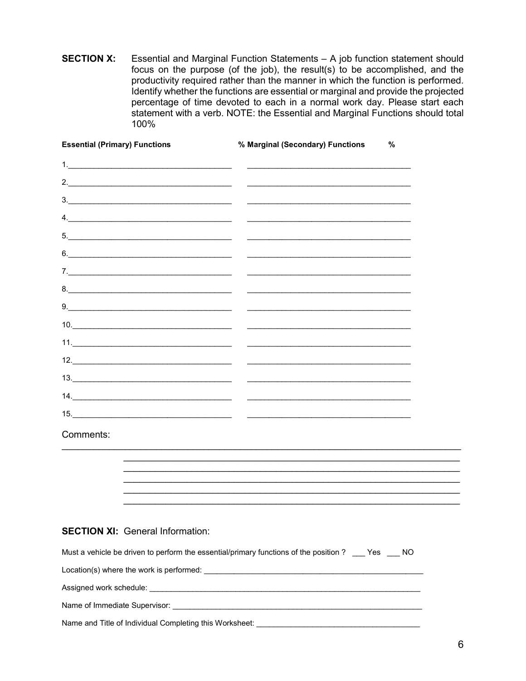**SECTION X:** Essential and Marginal Function Statements - A job function statement should focus on the purpose (of the job), the result(s) to be accomplished, and the productivity required rather than the manner in which the function is performed. Identify whether the functions are essential or marginal and provide the projected percentage of time devoted to each in a normal work day. Please start each statement with a verb. NOTE: the Essential and Marginal Functions should total 100%

| <b>Essential (Primary) Functions</b>                                                                                                                                                                                                                                                                                                                                                                                                                                                   | % Marginal (Secondary) Functions                                                                                                                                                                                                                                                                                                                                                                                                                                           | % |
|----------------------------------------------------------------------------------------------------------------------------------------------------------------------------------------------------------------------------------------------------------------------------------------------------------------------------------------------------------------------------------------------------------------------------------------------------------------------------------------|----------------------------------------------------------------------------------------------------------------------------------------------------------------------------------------------------------------------------------------------------------------------------------------------------------------------------------------------------------------------------------------------------------------------------------------------------------------------------|---|
|                                                                                                                                                                                                                                                                                                                                                                                                                                                                                        |                                                                                                                                                                                                                                                                                                                                                                                                                                                                            |   |
| 2. $\overline{\phantom{a}1}$                                                                                                                                                                                                                                                                                                                                                                                                                                                           |                                                                                                                                                                                                                                                                                                                                                                                                                                                                            |   |
| 3.                                                                                                                                                                                                                                                                                                                                                                                                                                                                                     | <u> 1999 - Jan James James Barnett, amerikansk politik (d. 1989)</u>                                                                                                                                                                                                                                                                                                                                                                                                       |   |
| 4. $\overline{\phantom{a}}$                                                                                                                                                                                                                                                                                                                                                                                                                                                            | <u> 1980 - Johann John Stein, fransk politik (d. 1980)</u>                                                                                                                                                                                                                                                                                                                                                                                                                 |   |
| $\begin{tabular}{c} 5. & \begin{tabular}{@{}c@{}} \textbf{---} & \textbf{---} & \textbf{---} & \textbf{---} & \textbf{---} & \textbf{---} & \textbf{---} & \textbf{---} & \textbf{---} & \textbf{---} & \textbf{---} & \textbf{---} & \textbf{---} & \textbf{---} & \textbf{---} & \textbf{---} & \textbf{---} & \textbf{---} & \textbf{---} & \textbf{---} & \textbf{---} & \textbf{---} & \textbf{---} & \textbf{---} & \textbf{---} & \textbf{---} & \textbf{---} & \textbf{---} &$ |                                                                                                                                                                                                                                                                                                                                                                                                                                                                            |   |
| 6.                                                                                                                                                                                                                                                                                                                                                                                                                                                                                     |                                                                                                                                                                                                                                                                                                                                                                                                                                                                            |   |
| 7.                                                                                                                                                                                                                                                                                                                                                                                                                                                                                     |                                                                                                                                                                                                                                                                                                                                                                                                                                                                            |   |
| $8. \underline{\hspace{2cm}}$                                                                                                                                                                                                                                                                                                                                                                                                                                                          |                                                                                                                                                                                                                                                                                                                                                                                                                                                                            |   |
| $9. \qquad \qquad 9. \qquad \qquad 9. \qquad \qquad 1. \qquad \qquad 9. \qquad \qquad 1. \qquad \qquad 1. \qquad \qquad 1. \qquad \qquad 1. \qquad \qquad 1. \qquad \qquad 1. \qquad \qquad 1. \qquad \qquad 1. \qquad \qquad 1. \qquad \qquad 1. \qquad \qquad 1. \qquad \qquad 1. \qquad \qquad 1. \qquad \qquad 1. \qquad \qquad 1. \qquad \qquad 1. \qquad \qquad 1. \qquad \qquad 1. \qquad \qquad 1. \qquad \qquad 1. \q$                                                        |                                                                                                                                                                                                                                                                                                                                                                                                                                                                            |   |
|                                                                                                                                                                                                                                                                                                                                                                                                                                                                                        | <u> 1980 - Johann Harry Harry Harry Harry Harry Harry Harry Harry Harry Harry Harry Harry Harry Harry Harry Harry Harry Harry Harry Harry Harry Harry Harry Harry Harry Harry Harry Harry Harry Harry Harry Harry Harry Harry Ha</u>                                                                                                                                                                                                                                       |   |
|                                                                                                                                                                                                                                                                                                                                                                                                                                                                                        | $\frac{1}{2} \left( \frac{1}{2} \right) \left( \frac{1}{2} \right) \left( \frac{1}{2} \right) \left( \frac{1}{2} \right) \left( \frac{1}{2} \right) \left( \frac{1}{2} \right) \left( \frac{1}{2} \right) \left( \frac{1}{2} \right) \left( \frac{1}{2} \right) \left( \frac{1}{2} \right) \left( \frac{1}{2} \right) \left( \frac{1}{2} \right) \left( \frac{1}{2} \right) \left( \frac{1}{2} \right) \left( \frac{1}{2} \right) \left( \frac{1}{2} \right) \left( \frac$ |   |
| $12. \underline{\hspace{2cm}}$                                                                                                                                                                                                                                                                                                                                                                                                                                                         | <u> Alexandro Alexandro Alexandro Alexandro Alexandro Alexandro Alexandro Alexandro Alexandro Alexandro Alexandro Alexandro Alexandro Alexandro Alexandro Alexandro Alexandro Alexandro Alexandro Alexandro Alexandro Alexandro </u>                                                                                                                                                                                                                                       |   |
|                                                                                                                                                                                                                                                                                                                                                                                                                                                                                        |                                                                                                                                                                                                                                                                                                                                                                                                                                                                            |   |
|                                                                                                                                                                                                                                                                                                                                                                                                                                                                                        |                                                                                                                                                                                                                                                                                                                                                                                                                                                                            |   |
| 15.                                                                                                                                                                                                                                                                                                                                                                                                                                                                                    | the control of the control of the control of the control of                                                                                                                                                                                                                                                                                                                                                                                                                |   |
| Comments:                                                                                                                                                                                                                                                                                                                                                                                                                                                                              |                                                                                                                                                                                                                                                                                                                                                                                                                                                                            |   |
|                                                                                                                                                                                                                                                                                                                                                                                                                                                                                        |                                                                                                                                                                                                                                                                                                                                                                                                                                                                            |   |
|                                                                                                                                                                                                                                                                                                                                                                                                                                                                                        |                                                                                                                                                                                                                                                                                                                                                                                                                                                                            |   |
|                                                                                                                                                                                                                                                                                                                                                                                                                                                                                        |                                                                                                                                                                                                                                                                                                                                                                                                                                                                            |   |
|                                                                                                                                                                                                                                                                                                                                                                                                                                                                                        |                                                                                                                                                                                                                                                                                                                                                                                                                                                                            |   |
| <b>SECTION XI: General Information:</b>                                                                                                                                                                                                                                                                                                                                                                                                                                                |                                                                                                                                                                                                                                                                                                                                                                                                                                                                            |   |
|                                                                                                                                                                                                                                                                                                                                                                                                                                                                                        | Must a vehicle be driven to perform the essential/primary functions of the position ? Yes NO                                                                                                                                                                                                                                                                                                                                                                               |   |
|                                                                                                                                                                                                                                                                                                                                                                                                                                                                                        |                                                                                                                                                                                                                                                                                                                                                                                                                                                                            |   |
|                                                                                                                                                                                                                                                                                                                                                                                                                                                                                        |                                                                                                                                                                                                                                                                                                                                                                                                                                                                            |   |
|                                                                                                                                                                                                                                                                                                                                                                                                                                                                                        |                                                                                                                                                                                                                                                                                                                                                                                                                                                                            |   |
|                                                                                                                                                                                                                                                                                                                                                                                                                                                                                        |                                                                                                                                                                                                                                                                                                                                                                                                                                                                            |   |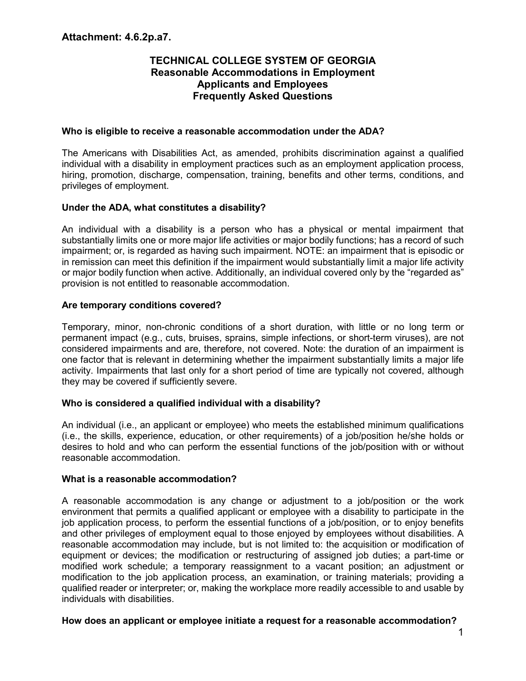# **TECHNICAL COLLEGE SYSTEM OF GEORGIA Reasonable Accommodations in Employment Applicants and Employees Frequently Asked Questions**

#### **Who is eligible to receive a reasonable accommodation under the ADA?**

The Americans with Disabilities Act, as amended, prohibits discrimination against a qualified individual with a disability in employment practices such as an employment application process, hiring, promotion, discharge, compensation, training, benefits and other terms, conditions, and privileges of employment.

# **Under the ADA, what constitutes a disability?**

An individual with a disability is a person who has a physical or mental impairment that substantially limits one or more major life activities or major bodily functions; has a record of such impairment; or, is regarded as having such impairment. NOTE: an impairment that is episodic or in remission can meet this definition if the impairment would substantially limit a major life activity or major bodily function when active. Additionally, an individual covered only by the "regarded as" provision is not entitled to reasonable accommodation.

#### **Are temporary conditions covered?**

Temporary, minor, non-chronic conditions of a short duration, with little or no long term or permanent impact (e.g., cuts, bruises, sprains, simple infections, or short-term viruses), are not considered impairments and are, therefore, not covered. Note: the duration of an impairment is one factor that is relevant in determining whether the impairment substantially limits a major life activity. Impairments that last only for a short period of time are typically not covered, although they may be covered if sufficiently severe.

# **Who is considered a qualified individual with a disability?**

An individual (i.e., an applicant or employee) who meets the established minimum qualifications (i.e., the skills, experience, education, or other requirements) of a job/position he/she holds or desires to hold and who can perform the essential functions of the job/position with or without reasonable accommodation.

# **What is a reasonable accommodation?**

A reasonable accommodation is any change or adjustment to a job/position or the work environment that permits a qualified applicant or employee with a disability to participate in the job application process, to perform the essential functions of a job/position, or to enjoy benefits and other privileges of employment equal to those enjoyed by employees without disabilities. A reasonable accommodation may include, but is not limited to: the acquisition or modification of equipment or devices; the modification or restructuring of assigned job duties; a part-time or modified work schedule; a temporary reassignment to a vacant position; an adjustment or modification to the job application process, an examination, or training materials; providing a qualified reader or interpreter; or, making the workplace more readily accessible to and usable by individuals with disabilities.

# **How does an applicant or employee initiate a request for a reasonable accommodation?**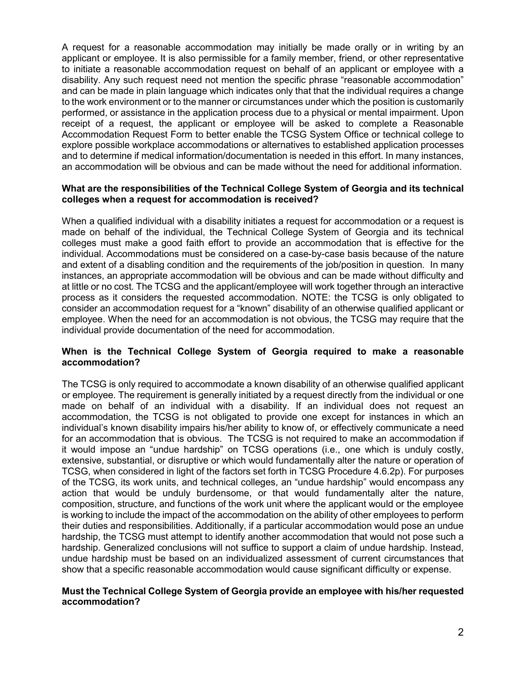A request for a reasonable accommodation may initially be made orally or in writing by an applicant or employee. It is also permissible for a family member, friend, or other representative to initiate a reasonable accommodation request on behalf of an applicant or employee with a disability. Any such request need not mention the specific phrase "reasonable accommodation" and can be made in plain language which indicates only that that the individual requires a change to the work environment or to the manner or circumstances under which the position is customarily performed, or assistance in the application process due to a physical or mental impairment. Upon receipt of a request, the applicant or employee will be asked to complete a Reasonable Accommodation Request Form to better enable the TCSG System Office or technical college to explore possible workplace accommodations or alternatives to established application processes and to determine if medical information/documentation is needed in this effort. In many instances, an accommodation will be obvious and can be made without the need for additional information.

#### **What are the responsibilities of the Technical College System of Georgia and its technical colleges when a request for accommodation is received?**

When a qualified individual with a disability initiates a request for accommodation or a request is made on behalf of the individual, the Technical College System of Georgia and its technical colleges must make a good faith effort to provide an accommodation that is effective for the individual. Accommodations must be considered on a case-by-case basis because of the nature and extent of a disabling condition and the requirements of the job/position in question. In many instances, an appropriate accommodation will be obvious and can be made without difficulty and at little or no cost. The TCSG and the applicant/employee will work together through an interactive process as it considers the requested accommodation. NOTE: the TCSG is only obligated to consider an accommodation request for a "known" disability of an otherwise qualified applicant or employee. When the need for an accommodation is not obvious, the TCSG may require that the individual provide documentation of the need for accommodation.

#### **When is the Technical College System of Georgia required to make a reasonable accommodation?**

The TCSG is only required to accommodate a known disability of an otherwise qualified applicant or employee. The requirement is generally initiated by a request directly from the individual or one made on behalf of an individual with a disability. If an individual does not request an accommodation, the TCSG is not obligated to provide one except for instances in which an individual's known disability impairs his/her ability to know of, or effectively communicate a need for an accommodation that is obvious. The TCSG is not required to make an accommodation if it would impose an "undue hardship" on TCSG operations (i.e., one which is unduly costly, extensive, substantial, or disruptive or which would fundamentally alter the nature or operation of TCSG, when considered in light of the factors set forth in TCSG Procedure 4.6.2p). For purposes of the TCSG, its work units, and technical colleges, an "undue hardship" would encompass any action that would be unduly burdensome, or that would fundamentally alter the nature, composition, structure, and functions of the work unit where the applicant would or the employee is working to include the impact of the accommodation on the ability of other employees to perform their duties and responsibilities. Additionally, if a particular accommodation would pose an undue hardship, the TCSG must attempt to identify another accommodation that would not pose such a hardship. Generalized conclusions will not suffice to support a claim of undue hardship. Instead, undue hardship must be based on an individualized assessment of current circumstances that show that a specific reasonable accommodation would cause significant difficulty or expense.

#### **Must the Technical College System of Georgia provide an employee with his/her requested accommodation?**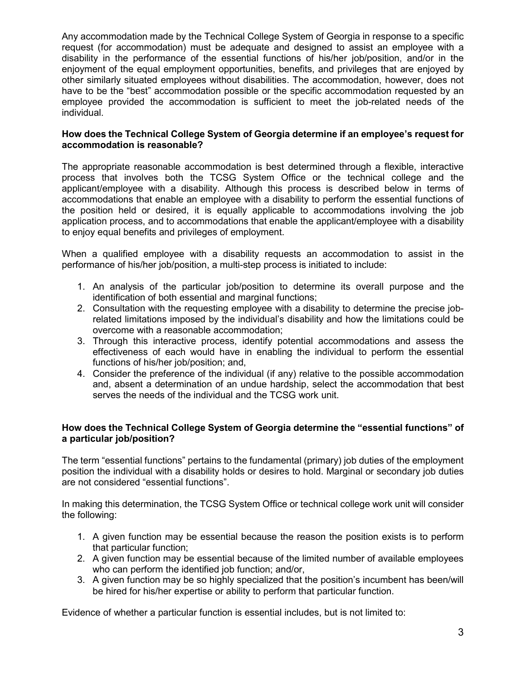Any accommodation made by the Technical College System of Georgia in response to a specific request (for accommodation) must be adequate and designed to assist an employee with a disability in the performance of the essential functions of his/her job/position, and/or in the enjoyment of the equal employment opportunities, benefits, and privileges that are enjoyed by other similarly situated employees without disabilities. The accommodation, however, does not have to be the "best" accommodation possible or the specific accommodation requested by an employee provided the accommodation is sufficient to meet the job-related needs of the individual.

# **How does the Technical College System of Georgia determine if an employee's request for accommodation is reasonable?**

The appropriate reasonable accommodation is best determined through a flexible, interactive process that involves both the TCSG System Office or the technical college and the applicant/employee with a disability. Although this process is described below in terms of accommodations that enable an employee with a disability to perform the essential functions of the position held or desired, it is equally applicable to accommodations involving the job application process, and to accommodations that enable the applicant/employee with a disability to enjoy equal benefits and privileges of employment.

When a qualified employee with a disability requests an accommodation to assist in the performance of his/her job/position, a multi-step process is initiated to include:

- 1. An analysis of the particular job/position to determine its overall purpose and the identification of both essential and marginal functions;
- 2. Consultation with the requesting employee with a disability to determine the precise jobrelated limitations imposed by the individual's disability and how the limitations could be overcome with a reasonable accommodation;
- 3. Through this interactive process, identify potential accommodations and assess the effectiveness of each would have in enabling the individual to perform the essential functions of his/her job/position; and,
- 4. Consider the preference of the individual (if any) relative to the possible accommodation and, absent a determination of an undue hardship, select the accommodation that best serves the needs of the individual and the TCSG work unit.

# **How does the Technical College System of Georgia determine the "essential functions" of a particular job/position?**

The term "essential functions" pertains to the fundamental (primary) job duties of the employment position the individual with a disability holds or desires to hold. Marginal or secondary job duties are not considered "essential functions".

In making this determination, the TCSG System Office or technical college work unit will consider the following:

- 1. A given function may be essential because the reason the position exists is to perform that particular function;
- 2. A given function may be essential because of the limited number of available employees who can perform the identified job function; and/or,
- 3. A given function may be so highly specialized that the position's incumbent has been/will be hired for his/her expertise or ability to perform that particular function.

Evidence of whether a particular function is essential includes, but is not limited to: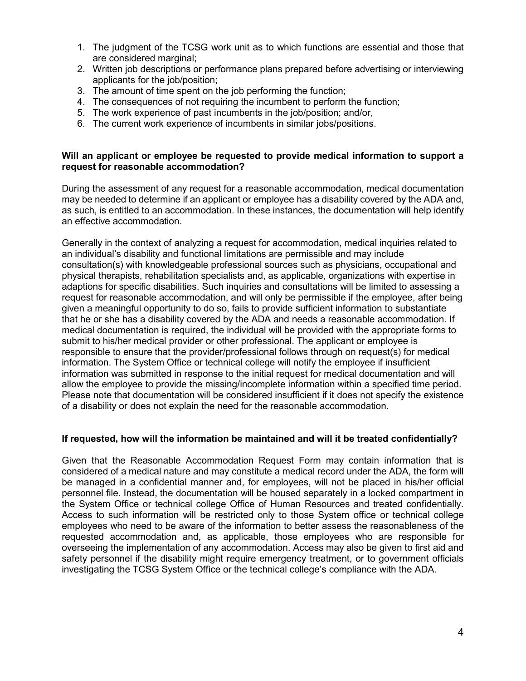- 1. The judgment of the TCSG work unit as to which functions are essential and those that are considered marginal;
- 2. Written job descriptions or performance plans prepared before advertising or interviewing applicants for the job/position;
- 3. The amount of time spent on the job performing the function;
- 4. The consequences of not requiring the incumbent to perform the function;
- 5. The work experience of past incumbents in the job/position; and/or,
- 6. The current work experience of incumbents in similar jobs/positions.

#### **Will an applicant or employee be requested to provide medical information to support a request for reasonable accommodation?**

During the assessment of any request for a reasonable accommodation, medical documentation may be needed to determine if an applicant or employee has a disability covered by the ADA and, as such, is entitled to an accommodation. In these instances, the documentation will help identify an effective accommodation.

Generally in the context of analyzing a request for accommodation, medical inquiries related to an individual's disability and functional limitations are permissible and may include consultation(s) with knowledgeable professional sources such as physicians, occupational and physical therapists, rehabilitation specialists and, as applicable, organizations with expertise in adaptions for specific disabilities. Such inquiries and consultations will be limited to assessing a request for reasonable accommodation, and will only be permissible if the employee, after being given a meaningful opportunity to do so, fails to provide sufficient information to substantiate that he or she has a disability covered by the ADA and needs a reasonable accommodation. If medical documentation is required, the individual will be provided with the appropriate forms to submit to his/her medical provider or other professional. The applicant or employee is responsible to ensure that the provider/professional follows through on request(s) for medical information. The System Office or technical college will notify the employee if insufficient information was submitted in response to the initial request for medical documentation and will allow the employee to provide the missing/incomplete information within a specified time period. Please note that documentation will be considered insufficient if it does not specify the existence of a disability or does not explain the need for the reasonable accommodation.

#### **If requested, how will the information be maintained and will it be treated confidentially?**

Given that the Reasonable Accommodation Request Form may contain information that is considered of a medical nature and may constitute a medical record under the ADA, the form will be managed in a confidential manner and, for employees, will not be placed in his/her official personnel file. Instead, the documentation will be housed separately in a locked compartment in the System Office or technical college Office of Human Resources and treated confidentially. Access to such information will be restricted only to those System office or technical college employees who need to be aware of the information to better assess the reasonableness of the requested accommodation and, as applicable, those employees who are responsible for overseeing the implementation of any accommodation. Access may also be given to first aid and safety personnel if the disability might require emergency treatment, or to government officials investigating the TCSG System Office or the technical college's compliance with the ADA.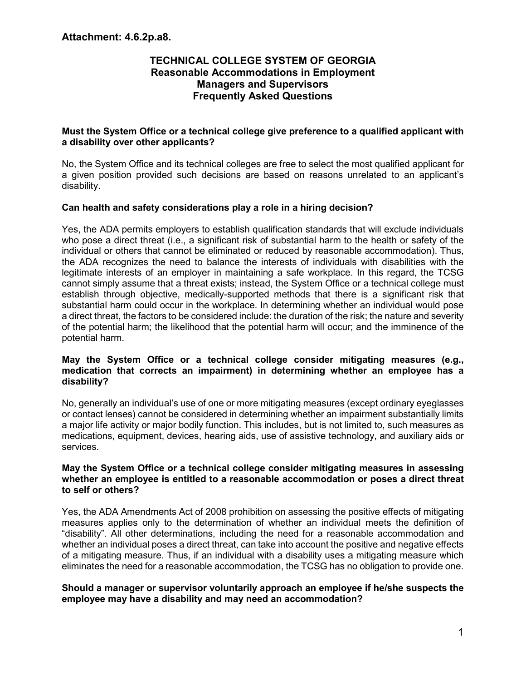# **TECHNICAL COLLEGE SYSTEM OF GEORGIA Reasonable Accommodations in Employment Managers and Supervisors Frequently Asked Questions**

#### **Must the System Office or a technical college give preference to a qualified applicant with a disability over other applicants?**

No, the System Office and its technical colleges are free to select the most qualified applicant for a given position provided such decisions are based on reasons unrelated to an applicant's disability.

#### **Can health and safety considerations play a role in a hiring decision?**

Yes, the ADA permits employers to establish qualification standards that will exclude individuals who pose a direct threat (i.e., a significant risk of substantial harm to the health or safety of the individual or others that cannot be eliminated or reduced by reasonable accommodation). Thus, the ADA recognizes the need to balance the interests of individuals with disabilities with the legitimate interests of an employer in maintaining a safe workplace. In this regard, the TCSG cannot simply assume that a threat exists; instead, the System Office or a technical college must establish through objective, medically-supported methods that there is a significant risk that substantial harm could occur in the workplace. In determining whether an individual would pose a direct threat, the factors to be considered include: the duration of the risk; the nature and severity of the potential harm; the likelihood that the potential harm will occur; and the imminence of the potential harm.

#### **May the System Office or a technical college consider mitigating measures (e.g., medication that corrects an impairment) in determining whether an employee has a disability?**

No, generally an individual's use of one or more mitigating measures (except ordinary eyeglasses or contact lenses) cannot be considered in determining whether an impairment substantially limits a major life activity or major bodily function. This includes, but is not limited to, such measures as medications, equipment, devices, hearing aids, use of assistive technology, and auxiliary aids or services.

#### **May the System Office or a technical college consider mitigating measures in assessing whether an employee is entitled to a reasonable accommodation or poses a direct threat to self or others?**

Yes, the ADA Amendments Act of 2008 prohibition on assessing the positive effects of mitigating measures applies only to the determination of whether an individual meets the definition of "disability". All other determinations, including the need for a reasonable accommodation and whether an individual poses a direct threat, can take into account the positive and negative effects of a mitigating measure. Thus, if an individual with a disability uses a mitigating measure which eliminates the need for a reasonable accommodation, the TCSG has no obligation to provide one.

#### **Should a manager or supervisor voluntarily approach an employee if he/she suspects the employee may have a disability and may need an accommodation?**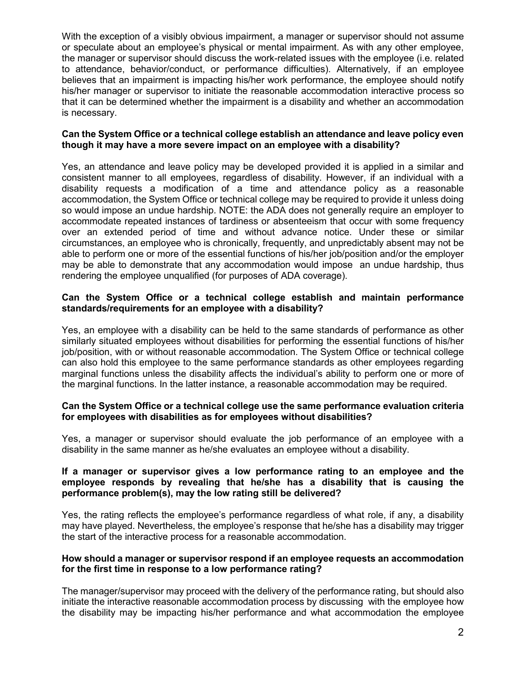With the exception of a visibly obvious impairment, a manager or supervisor should not assume or speculate about an employee's physical or mental impairment. As with any other employee, the manager or supervisor should discuss the work-related issues with the employee (i.e. related to attendance, behavior/conduct, or performance difficulties). Alternatively, if an employee believes that an impairment is impacting his/her work performance, the employee should notify his/her manager or supervisor to initiate the reasonable accommodation interactive process so that it can be determined whether the impairment is a disability and whether an accommodation is necessary.

#### **Can the System Office or a technical college establish an attendance and leave policy even though it may have a more severe impact on an employee with a disability?**

Yes, an attendance and leave policy may be developed provided it is applied in a similar and consistent manner to all employees, regardless of disability. However, if an individual with a disability requests a modification of a time and attendance policy as a reasonable accommodation, the System Office or technical college may be required to provide it unless doing so would impose an undue hardship. NOTE: the ADA does not generally require an employer to accommodate repeated instances of tardiness or absenteeism that occur with some frequency over an extended period of time and without advance notice. Under these or similar circumstances, an employee who is chronically, frequently, and unpredictably absent may not be able to perform one or more of the essential functions of his/her job/position and/or the employer may be able to demonstrate that any accommodation would impose an undue hardship, thus rendering the employee unqualified (for purposes of ADA coverage).

#### **Can the System Office or a technical college establish and maintain performance standards/requirements for an employee with a disability?**

Yes, an employee with a disability can be held to the same standards of performance as other similarly situated employees without disabilities for performing the essential functions of his/her job/position, with or without reasonable accommodation. The System Office or technical college can also hold this employee to the same performance standards as other employees regarding marginal functions unless the disability affects the individual's ability to perform one or more of the marginal functions. In the latter instance, a reasonable accommodation may be required.

#### **Can the System Office or a technical college use the same performance evaluation criteria for employees with disabilities as for employees without disabilities?**

Yes, a manager or supervisor should evaluate the job performance of an employee with a disability in the same manner as he/she evaluates an employee without a disability.

#### **If a manager or supervisor gives a low performance rating to an employee and the employee responds by revealing that he/she has a disability that is causing the performance problem(s), may the low rating still be delivered?**

Yes, the rating reflects the employee's performance regardless of what role, if any, a disability may have played. Nevertheless, the employee's response that he/she has a disability may trigger the start of the interactive process for a reasonable accommodation.

#### **How should a manager or supervisor respond if an employee requests an accommodation for the first time in response to a low performance rating?**

The manager/supervisor may proceed with the delivery of the performance rating, but should also initiate the interactive reasonable accommodation process by discussing with the employee how the disability may be impacting his/her performance and what accommodation the employee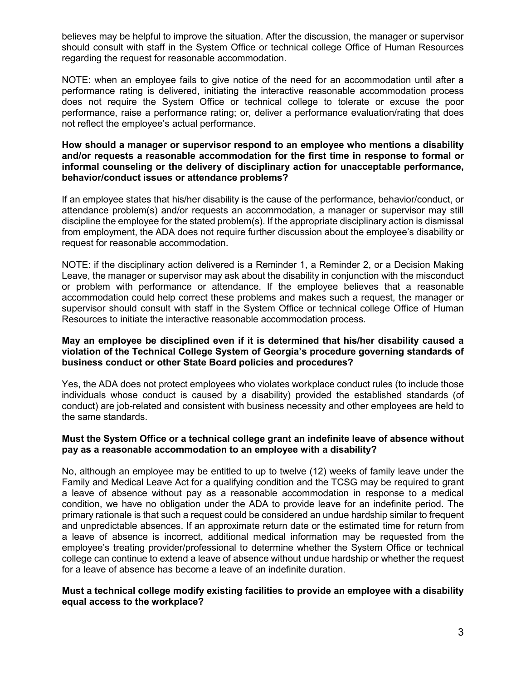believes may be helpful to improve the situation. After the discussion, the manager or supervisor should consult with staff in the System Office or technical college Office of Human Resources regarding the request for reasonable accommodation.

NOTE: when an employee fails to give notice of the need for an accommodation until after a performance rating is delivered, initiating the interactive reasonable accommodation process does not require the System Office or technical college to tolerate or excuse the poor performance, raise a performance rating; or, deliver a performance evaluation/rating that does not reflect the employee's actual performance.

#### **How should a manager or supervisor respond to an employee who mentions a disability and/or requests a reasonable accommodation for the first time in response to formal or informal counseling or the delivery of disciplinary action for unacceptable performance, behavior/conduct issues or attendance problems?**

If an employee states that his/her disability is the cause of the performance, behavior/conduct, or attendance problem(s) and/or requests an accommodation, a manager or supervisor may still discipline the employee for the stated problem(s). If the appropriate disciplinary action is dismissal from employment, the ADA does not require further discussion about the employee's disability or request for reasonable accommodation.

NOTE: if the disciplinary action delivered is a Reminder 1, a Reminder 2, or a Decision Making Leave, the manager or supervisor may ask about the disability in conjunction with the misconduct or problem with performance or attendance. If the employee believes that a reasonable accommodation could help correct these problems and makes such a request, the manager or supervisor should consult with staff in the System Office or technical college Office of Human Resources to initiate the interactive reasonable accommodation process.

#### **May an employee be disciplined even if it is determined that his/her disability caused a violation of the Technical College System of Georgia's procedure governing standards of business conduct or other State Board policies and procedures?**

Yes, the ADA does not protect employees who violates workplace conduct rules (to include those individuals whose conduct is caused by a disability) provided the established standards (of conduct) are job-related and consistent with business necessity and other employees are held to the same standards.

#### **Must the System Office or a technical college grant an indefinite leave of absence without pay as a reasonable accommodation to an employee with a disability?**

No, although an employee may be entitled to up to twelve (12) weeks of family leave under the Family and Medical Leave Act for a qualifying condition and the TCSG may be required to grant a leave of absence without pay as a reasonable accommodation in response to a medical condition, we have no obligation under the ADA to provide leave for an indefinite period. The primary rationale is that such a request could be considered an undue hardship similar to frequent and unpredictable absences. If an approximate return date or the estimated time for return from a leave of absence is incorrect, additional medical information may be requested from the employee's treating provider/professional to determine whether the System Office or technical college can continue to extend a leave of absence without undue hardship or whether the request for a leave of absence has become a leave of an indefinite duration.

#### **Must a technical college modify existing facilities to provide an employee with a disability equal access to the workplace?**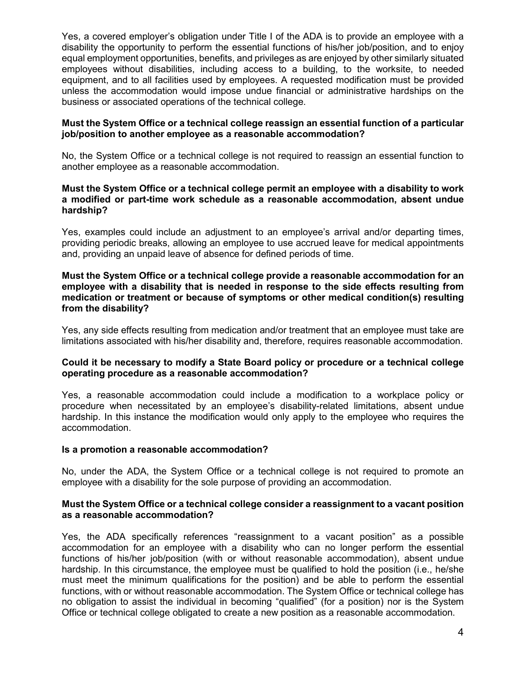Yes, a covered employer's obligation under Title I of the ADA is to provide an employee with a disability the opportunity to perform the essential functions of his/her job/position, and to enjoy equal employment opportunities, benefits, and privileges as are enjoyed by other similarly situated employees without disabilities, including access to a building, to the worksite, to needed equipment, and to all facilities used by employees. A requested modification must be provided unless the accommodation would impose undue financial or administrative hardships on the business or associated operations of the technical college.

#### **Must the System Office or a technical college reassign an essential function of a particular job/position to another employee as a reasonable accommodation?**

No, the System Office or a technical college is not required to reassign an essential function to another employee as a reasonable accommodation.

#### **Must the System Office or a technical college permit an employee with a disability to work a modified or part-time work schedule as a reasonable accommodation, absent undue hardship?**

Yes, examples could include an adjustment to an employee's arrival and/or departing times, providing periodic breaks, allowing an employee to use accrued leave for medical appointments and, providing an unpaid leave of absence for defined periods of time.

#### **Must the System Office or a technical college provide a reasonable accommodation for an employee with a disability that is needed in response to the side effects resulting from medication or treatment or because of symptoms or other medical condition(s) resulting from the disability?**

Yes, any side effects resulting from medication and/or treatment that an employee must take are limitations associated with his/her disability and, therefore, requires reasonable accommodation.

#### **Could it be necessary to modify a State Board policy or procedure or a technical college operating procedure as a reasonable accommodation?**

Yes, a reasonable accommodation could include a modification to a workplace policy or procedure when necessitated by an employee's disability-related limitations, absent undue hardship. In this instance the modification would only apply to the employee who requires the accommodation.

#### **Is a promotion a reasonable accommodation?**

No, under the ADA, the System Office or a technical college is not required to promote an employee with a disability for the sole purpose of providing an accommodation.

#### **Must the System Office or a technical college consider a reassignment to a vacant position as a reasonable accommodation?**

Yes, the ADA specifically references "reassignment to a vacant position" as a possible accommodation for an employee with a disability who can no longer perform the essential functions of his/her job/position (with or without reasonable accommodation), absent undue hardship. In this circumstance, the employee must be qualified to hold the position (i.e., he/she must meet the minimum qualifications for the position) and be able to perform the essential functions, with or without reasonable accommodation. The System Office or technical college has no obligation to assist the individual in becoming "qualified" (for a position) nor is the System Office or technical college obligated to create a new position as a reasonable accommodation.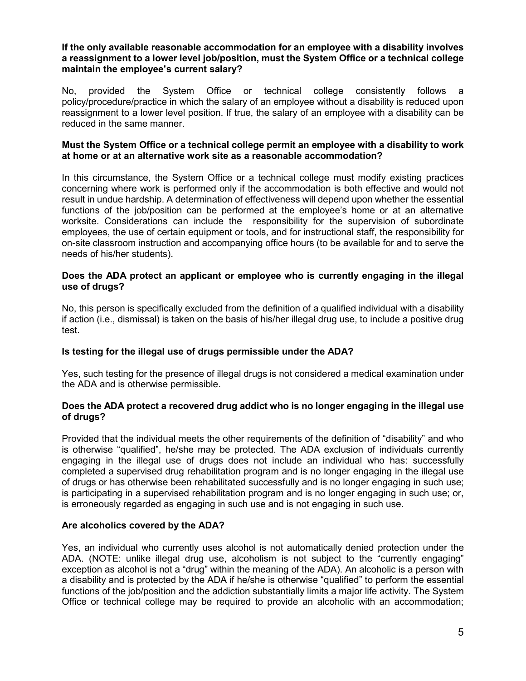#### **If the only available reasonable accommodation for an employee with a disability involves a reassignment to a lower level job/position, must the System Office or a technical college maintain the employee's current salary?**

No, provided the System Office or technical college consistently follows a policy/procedure/practice in which the salary of an employee without a disability is reduced upon reassignment to a lower level position. If true, the salary of an employee with a disability can be reduced in the same manner.

#### **Must the System Office or a technical college permit an employee with a disability to work at home or at an alternative work site as a reasonable accommodation?**

In this circumstance, the System Office or a technical college must modify existing practices concerning where work is performed only if the accommodation is both effective and would not result in undue hardship. A determination of effectiveness will depend upon whether the essential functions of the job/position can be performed at the employee's home or at an alternative worksite. Considerations can include the responsibility for the supervision of subordinate employees, the use of certain equipment or tools, and for instructional staff, the responsibility for on-site classroom instruction and accompanying office hours (to be available for and to serve the needs of his/her students).

### **Does the ADA protect an applicant or employee who is currently engaging in the illegal use of drugs?**

No, this person is specifically excluded from the definition of a qualified individual with a disability if action (i.e., dismissal) is taken on the basis of his/her illegal drug use, to include a positive drug test.

# **Is testing for the illegal use of drugs permissible under the ADA?**

Yes, such testing for the presence of illegal drugs is not considered a medical examination under the ADA and is otherwise permissible.

#### **Does the ADA protect a recovered drug addict who is no longer engaging in the illegal use of drugs?**

Provided that the individual meets the other requirements of the definition of "disability" and who is otherwise "qualified", he/she may be protected. The ADA exclusion of individuals currently engaging in the illegal use of drugs does not include an individual who has: successfully completed a supervised drug rehabilitation program and is no longer engaging in the illegal use of drugs or has otherwise been rehabilitated successfully and is no longer engaging in such use; is participating in a supervised rehabilitation program and is no longer engaging in such use; or, is erroneously regarded as engaging in such use and is not engaging in such use.

# **Are alcoholics covered by the ADA?**

Yes, an individual who currently uses alcohol is not automatically denied protection under the ADA. (NOTE: unlike illegal drug use, alcoholism is not subject to the "currently engaging" exception as alcohol is not a "drug" within the meaning of the ADA). An alcoholic is a person with a disability and is protected by the ADA if he/she is otherwise "qualified" to perform the essential functions of the job/position and the addiction substantially limits a major life activity. The System Office or technical college may be required to provide an alcoholic with an accommodation;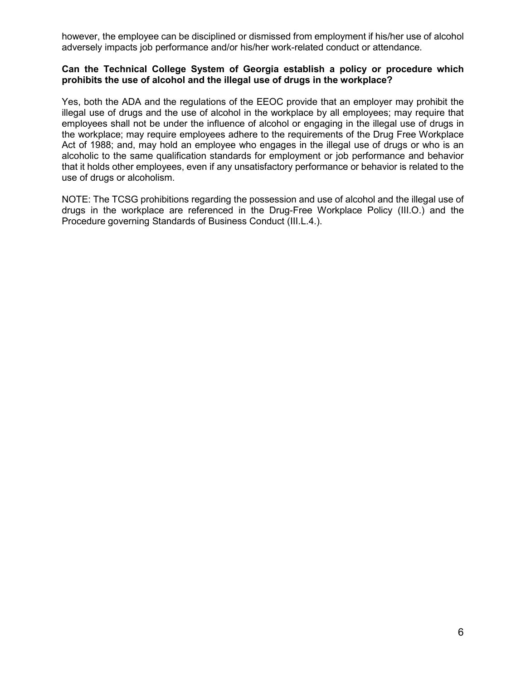however, the employee can be disciplined or dismissed from employment if his/her use of alcohol adversely impacts job performance and/or his/her work-related conduct or attendance.

#### **Can the Technical College System of Georgia establish a policy or procedure which prohibits the use of alcohol and the illegal use of drugs in the workplace?**

Yes, both the ADA and the regulations of the EEOC provide that an employer may prohibit the illegal use of drugs and the use of alcohol in the workplace by all employees; may require that employees shall not be under the influence of alcohol or engaging in the illegal use of drugs in the workplace; may require employees adhere to the requirements of the Drug Free Workplace Act of 1988; and, may hold an employee who engages in the illegal use of drugs or who is an alcoholic to the same qualification standards for employment or job performance and behavior that it holds other employees, even if any unsatisfactory performance or behavior is related to the use of drugs or alcoholism.

NOTE: The TCSG prohibitions regarding the possession and use of alcohol and the illegal use of drugs in the workplace are referenced in the Drug-Free Workplace Policy (III.O.) and the Procedure governing Standards of Business Conduct (III.L.4.).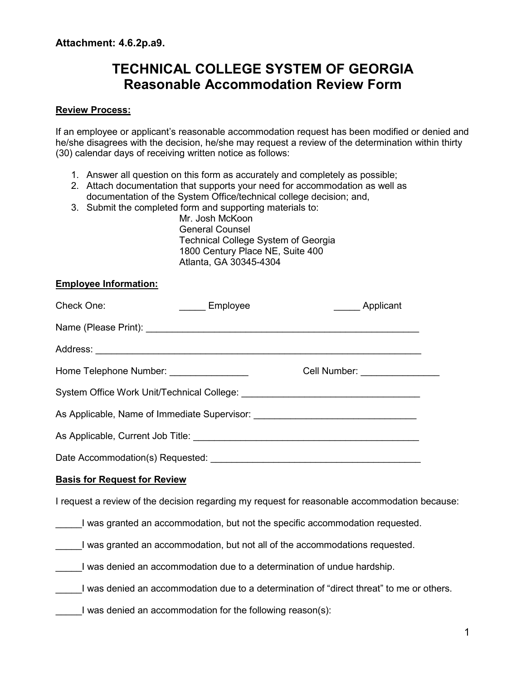# **TECHNICAL COLLEGE SYSTEM OF GEORGIA Reasonable Accommodation Review Form**

# **Review Process:**

If an employee or applicant's reasonable accommodation request has been modified or denied and he/she disagrees with the decision, he/she may request a review of the determination within thirty (30) calendar days of receiving written notice as follows:

- 1. Answer all question on this form as accurately and completely as possible;
- 2. Attach documentation that supports your need for accommodation as well as
- documentation of the System Office/technical college decision; and,
- 3. Submit the completed form and supporting materials to:

Mr. Josh McKoon General Counsel Technical College System of Georgia 1800 Century Place NE, Suite 400 Atlanta, GA 30345-4304

# **Employee Information:**

| Check One:                                                                                    | ______ Employee                                            | ______ Applicant                                                                         |  |  |
|-----------------------------------------------------------------------------------------------|------------------------------------------------------------|------------------------------------------------------------------------------------------|--|--|
|                                                                                               |                                                            |                                                                                          |  |  |
|                                                                                               |                                                            |                                                                                          |  |  |
| Home Telephone Number: ________________                                                       |                                                            | Cell Number: ________________                                                            |  |  |
|                                                                                               |                                                            |                                                                                          |  |  |
|                                                                                               |                                                            | As Applicable, Name of Immediate Supervisor: ___________________________________         |  |  |
|                                                                                               |                                                            |                                                                                          |  |  |
|                                                                                               |                                                            |                                                                                          |  |  |
| <b>Basis for Request for Review</b>                                                           |                                                            |                                                                                          |  |  |
| I request a review of the decision regarding my request for reasonable accommodation because: |                                                            |                                                                                          |  |  |
|                                                                                               |                                                            | I was granted an accommodation, but not the specific accommodation requested.            |  |  |
|                                                                                               |                                                            | I was granted an accommodation, but not all of the accommodations requested.             |  |  |
|                                                                                               |                                                            | I was denied an accommodation due to a determination of undue hardship.                  |  |  |
|                                                                                               |                                                            | I was denied an accommodation due to a determination of "direct threat" to me or others. |  |  |
|                                                                                               | I was denied an accommodation for the following reason(s): |                                                                                          |  |  |